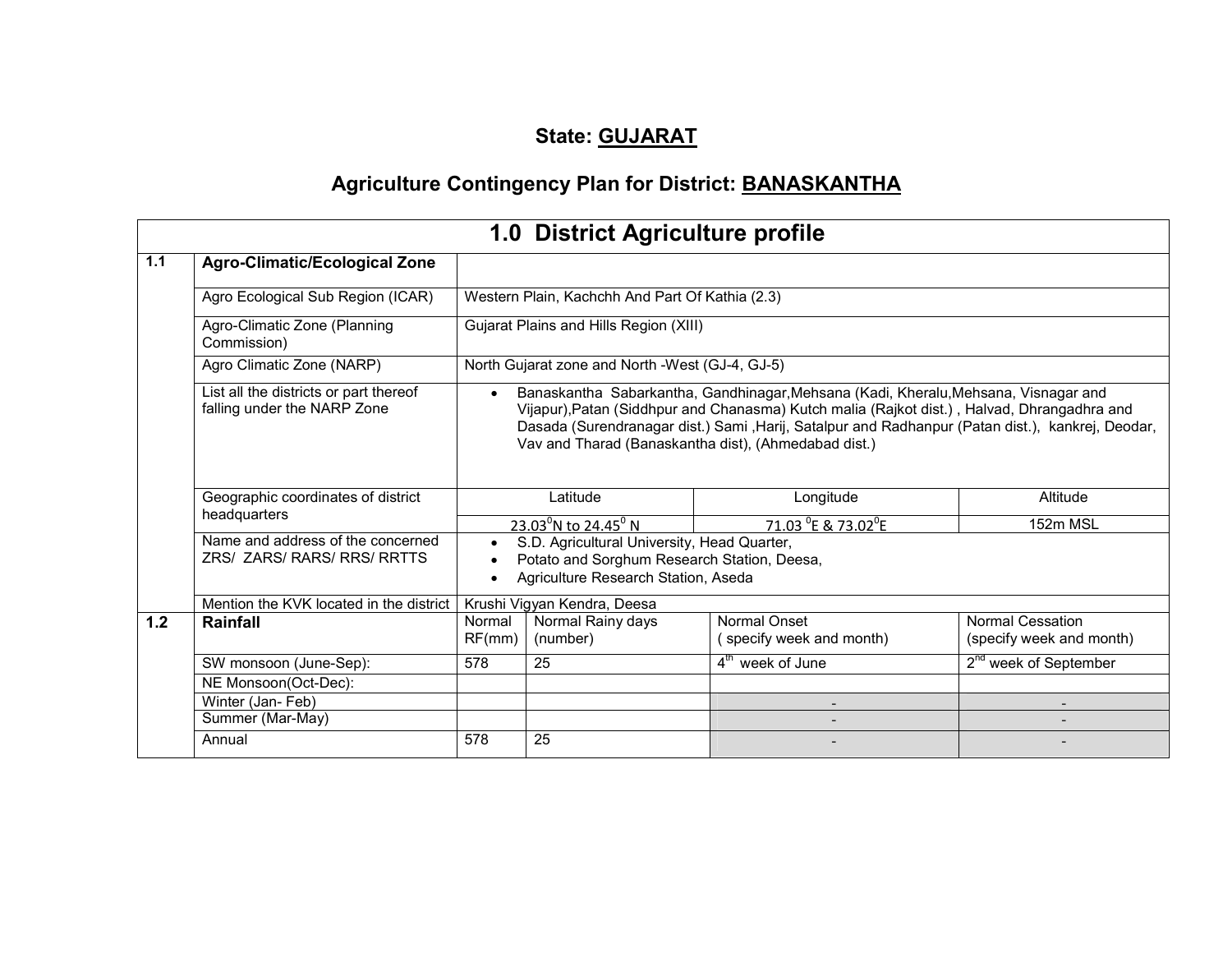# State: GUJARAT

# Agriculture Contingency Plan for District: BANASKANTHA

|       |                                                                       |                                                                                                                                                | 1.0 District Agriculture profile                |                                                                                                                                                                                                                                                                                                                                                 |                                                     |  |  |  |  |
|-------|-----------------------------------------------------------------------|------------------------------------------------------------------------------------------------------------------------------------------------|-------------------------------------------------|-------------------------------------------------------------------------------------------------------------------------------------------------------------------------------------------------------------------------------------------------------------------------------------------------------------------------------------------------|-----------------------------------------------------|--|--|--|--|
| $1.1$ | <b>Agro-Climatic/Ecological Zone</b>                                  |                                                                                                                                                |                                                 |                                                                                                                                                                                                                                                                                                                                                 |                                                     |  |  |  |  |
|       | Agro Ecological Sub Region (ICAR)                                     |                                                                                                                                                | Western Plain, Kachchh And Part Of Kathia (2.3) |                                                                                                                                                                                                                                                                                                                                                 |                                                     |  |  |  |  |
|       | Agro-Climatic Zone (Planning<br>Commission)                           | Gujarat Plains and Hills Region (XIII)                                                                                                         |                                                 |                                                                                                                                                                                                                                                                                                                                                 |                                                     |  |  |  |  |
|       | Agro Climatic Zone (NARP)                                             | North Gujarat zone and North -West (GJ-4, GJ-5)                                                                                                |                                                 |                                                                                                                                                                                                                                                                                                                                                 |                                                     |  |  |  |  |
|       | List all the districts or part thereof<br>falling under the NARP Zone | $\bullet$                                                                                                                                      |                                                 | Banaskantha Sabarkantha, Gandhinagar, Mehsana (Kadi, Kheralu, Mehsana, Visnagar and<br>Vijapur), Patan (Siddhpur and Chanasma) Kutch malia (Rajkot dist.), Halvad, Dhrangadhra and<br>Dasada (Surendranagar dist.) Sami , Harij, Satalpur and Radhanpur (Patan dist.), kankrej, Deodar,<br>Vav and Tharad (Banaskantha dist), (Ahmedabad dist.) |                                                     |  |  |  |  |
|       | Geographic coordinates of district<br>headquarters                    |                                                                                                                                                | Latitude                                        | Longitude                                                                                                                                                                                                                                                                                                                                       | Altitude                                            |  |  |  |  |
|       |                                                                       | 71.03 <sup>°</sup> E & 73.02 <sup>°</sup> E<br>23.03 <sup>°</sup> N to 24.45 <sup>°</sup> N<br>152m MSL                                        |                                                 |                                                                                                                                                                                                                                                                                                                                                 |                                                     |  |  |  |  |
|       | Name and address of the concerned<br>ZRS/ ZARS/ RARS/ RRS/ RRTTS      | S.D. Agricultural University, Head Quarter,<br>$\bullet$<br>Potato and Sorghum Research Station, Deesa,<br>Agriculture Research Station, Aseda |                                                 |                                                                                                                                                                                                                                                                                                                                                 |                                                     |  |  |  |  |
|       | Mention the KVK located in the district                               |                                                                                                                                                | Krushi Vigyan Kendra, Deesa                     |                                                                                                                                                                                                                                                                                                                                                 |                                                     |  |  |  |  |
| $1.2$ | Rainfall                                                              | Normal<br>RF(mm)                                                                                                                               | Normal Rainy days<br>(number)                   | Normal Onset<br>(specify week and month)                                                                                                                                                                                                                                                                                                        | <b>Normal Cessation</b><br>(specify week and month) |  |  |  |  |
|       | SW monsoon (June-Sep):                                                | 578                                                                                                                                            | 25                                              | $4th$ week of June                                                                                                                                                                                                                                                                                                                              | 2 <sup>nd</sup> week of September                   |  |  |  |  |
|       | NE Monsoon(Oct-Dec):                                                  |                                                                                                                                                |                                                 |                                                                                                                                                                                                                                                                                                                                                 |                                                     |  |  |  |  |
|       | Winter (Jan-Feb)                                                      |                                                                                                                                                |                                                 |                                                                                                                                                                                                                                                                                                                                                 |                                                     |  |  |  |  |
|       | Summer (Mar-May)                                                      |                                                                                                                                                |                                                 |                                                                                                                                                                                                                                                                                                                                                 |                                                     |  |  |  |  |
|       | Annual                                                                | 578                                                                                                                                            | 25                                              |                                                                                                                                                                                                                                                                                                                                                 |                                                     |  |  |  |  |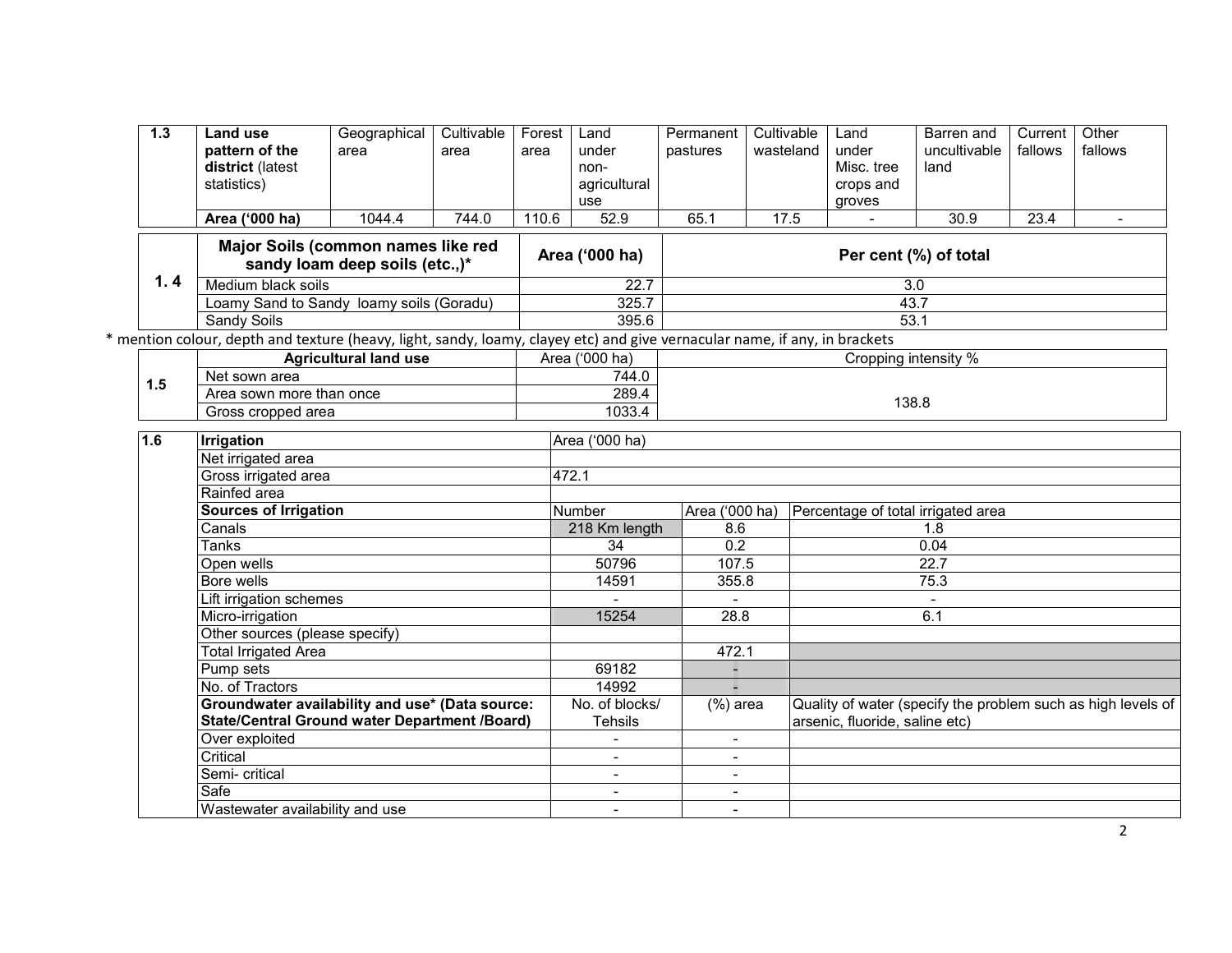| 1.3 | Land use                                                                                                                   | Geographical                                                                                            | Cultivable | Forest | Land                             | Permanent                | Cultivable | Land                           | Barren and                         | Current | Other                                                        |
|-----|----------------------------------------------------------------------------------------------------------------------------|---------------------------------------------------------------------------------------------------------|------------|--------|----------------------------------|--------------------------|------------|--------------------------------|------------------------------------|---------|--------------------------------------------------------------|
|     | pattern of the                                                                                                             | area                                                                                                    | area       | area   | under                            | pastures                 | wasteland  | under                          | uncultivable                       | fallows | fallows                                                      |
|     | district (latest                                                                                                           |                                                                                                         |            |        | non-                             |                          |            | Misc. tree                     | land                               |         |                                                              |
|     | statistics)                                                                                                                |                                                                                                         |            |        | agricultural                     |                          |            | crops and                      |                                    |         |                                                              |
|     |                                                                                                                            |                                                                                                         |            |        | use                              |                          |            | groves                         |                                    |         |                                                              |
|     | Area ('000 ha)                                                                                                             | 1044.4                                                                                                  | 744.0      | 110.6  | 52.9                             | 65.1                     | 17.5       | $\blacksquare$                 | 30.9                               | 23.4    | $\overline{\phantom{a}}$                                     |
|     |                                                                                                                            | Major Soils (common names like red<br>sandy loam deep soils (etc.,)*                                    |            |        | Area ('000 ha)                   |                          |            |                                | Per cent (%) of total              |         |                                                              |
| 1.4 | Medium black soils                                                                                                         |                                                                                                         |            |        | 22.7                             |                          |            |                                | 3.0                                |         |                                                              |
|     |                                                                                                                            | Loamy Sand to Sandy loamy soils (Goradu)                                                                |            |        | 325.7                            |                          |            |                                | 43.7                               |         |                                                              |
|     | Sandy Soils                                                                                                                |                                                                                                         |            |        | 395.6                            |                          |            |                                | 53.1                               |         |                                                              |
|     | * mention colour, depth and texture (heavy, light, sandy, loamy, clayey etc) and give vernacular name, if any, in brackets |                                                                                                         |            |        |                                  |                          |            |                                |                                    |         |                                                              |
|     |                                                                                                                            | <b>Agricultural land use</b>                                                                            |            |        | Area ('000 ha)                   |                          |            | Cropping intensity %           |                                    |         |                                                              |
| 1.5 | Net sown area                                                                                                              |                                                                                                         |            |        | 744.0                            |                          |            |                                |                                    |         |                                                              |
|     | Area sown more than once                                                                                                   |                                                                                                         |            |        | 289.4<br>1033.4                  |                          |            |                                |                                    |         |                                                              |
|     |                                                                                                                            | Gross cropped area                                                                                      |            |        |                                  | 138.8                    |            |                                |                                    |         |                                                              |
| 1.6 | <b>Irrigation</b>                                                                                                          |                                                                                                         |            |        | Area ('000 ha)                   |                          |            |                                |                                    |         |                                                              |
|     | Net irrigated area                                                                                                         |                                                                                                         |            |        |                                  |                          |            |                                |                                    |         |                                                              |
|     | Gross irrigated area                                                                                                       |                                                                                                         |            |        | 472.1                            |                          |            |                                |                                    |         |                                                              |
|     | Rainfed area                                                                                                               |                                                                                                         |            |        |                                  |                          |            |                                |                                    |         |                                                              |
|     |                                                                                                                            | <b>Sources of Irrigation</b>                                                                            |            |        | Number                           | Area ('000 ha)           |            |                                | Percentage of total irrigated area |         |                                                              |
|     | Canals                                                                                                                     |                                                                                                         |            |        | 218 Km length                    | 8.6                      |            |                                | 1.8                                |         |                                                              |
|     | Tanks                                                                                                                      |                                                                                                         |            |        | 34                               | 0.2                      |            |                                | 0.04                               |         |                                                              |
|     | Open wells                                                                                                                 |                                                                                                         |            |        | 50796                            | 107.5                    |            |                                | 22.7                               |         |                                                              |
|     | Bore wells                                                                                                                 |                                                                                                         |            |        | 14591                            | 355.8                    |            |                                | 75.3                               |         |                                                              |
|     | Lift irrigation schemes                                                                                                    |                                                                                                         |            |        |                                  |                          |            |                                |                                    |         |                                                              |
|     | Micro-irrigation                                                                                                           |                                                                                                         |            |        | 15254                            | 28.8                     |            |                                | 6.1                                |         |                                                              |
|     | Other sources (please specify)                                                                                             |                                                                                                         |            |        |                                  |                          |            |                                |                                    |         |                                                              |
|     | <b>Total Irrigated Area</b>                                                                                                |                                                                                                         |            |        |                                  | 472.1                    |            |                                |                                    |         |                                                              |
|     | Pump sets                                                                                                                  |                                                                                                         |            |        | 69182                            |                          |            |                                |                                    |         |                                                              |
|     | No. of Tractors                                                                                                            |                                                                                                         |            |        | 14992                            |                          |            |                                |                                    |         |                                                              |
|     |                                                                                                                            | Groundwater availability and use* (Data source:<br><b>State/Central Ground water Department /Board)</b> |            |        | No. of blocks/<br><b>Tehsils</b> | $(%)$ area               |            | arsenic, fluoride, saline etc) |                                    |         | Quality of water (specify the problem such as high levels of |
|     | Over exploited                                                                                                             |                                                                                                         |            |        | $\overline{\phantom{a}}$         | $\sim$                   |            |                                |                                    |         |                                                              |
|     | Critical                                                                                                                   |                                                                                                         |            |        | $\overline{\phantom{a}}$         |                          |            |                                |                                    |         |                                                              |
|     | Semi- critical                                                                                                             |                                                                                                         |            |        | $\overline{\phantom{a}}$         |                          |            |                                |                                    |         |                                                              |
|     | Safe                                                                                                                       |                                                                                                         |            |        | $\overline{\phantom{a}}$         | $\overline{\phantom{a}}$ |            |                                |                                    |         |                                                              |
|     | Wastewater availability and use                                                                                            |                                                                                                         |            |        |                                  |                          |            |                                |                                    |         |                                                              |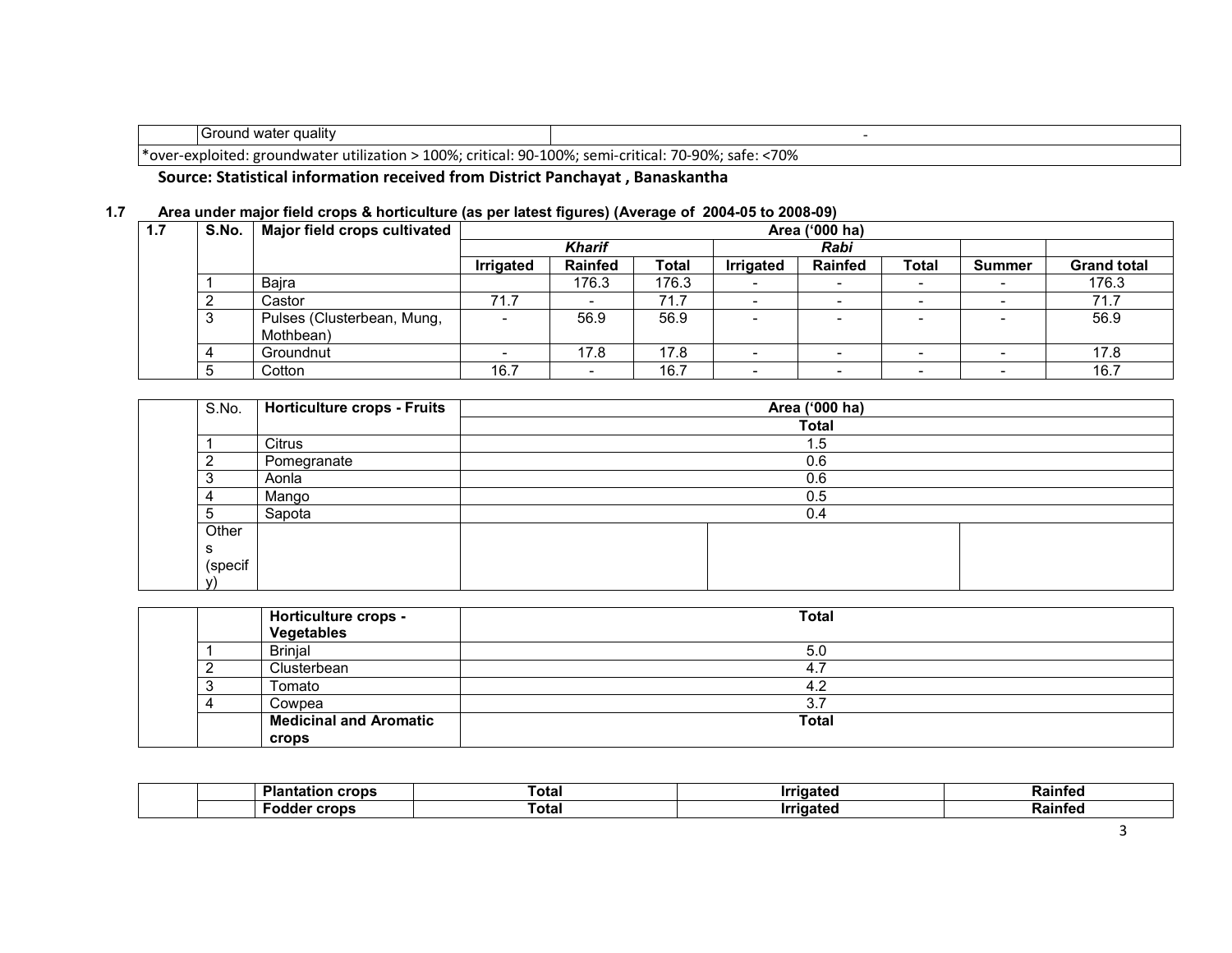| [Ground water quality                                                                               |      |
|-----------------------------------------------------------------------------------------------------|------|
| · over-exploited: groundwater utilization > 100%; critical: 90-100%; semi-critical: 70-90%; safe: * | <70% |

### Source: Statistical information received from District Panchayat , Banaskantha

#### 1.7 Area under major field crops & horticulture (as per latest figures) (Average of 2004-05 to 2008-09)

| 1.7 | S.No. | Major field crops cultivated            | Area ('000 ha)           |                |              |                          |                          |                          |                          |                    |  |
|-----|-------|-----------------------------------------|--------------------------|----------------|--------------|--------------------------|--------------------------|--------------------------|--------------------------|--------------------|--|
|     |       |                                         |                          | Kharif         |              |                          | Rabi                     |                          |                          |                    |  |
|     |       |                                         | <b>Irrigated</b>         | <b>Rainfed</b> | <b>Total</b> | <b>Irrigated</b>         | <b>Rainfed</b>           | <b>Total</b>             | <b>Summer</b>            | <b>Grand total</b> |  |
|     |       | Bajra                                   |                          | 176.3          | 176.3        |                          | $\overline{\phantom{0}}$ | $\overline{\phantom{a}}$ |                          | 176.3              |  |
|     |       | Castor                                  | 71.7                     |                | 71.7         | $\overline{\phantom{0}}$ | $\overline{\phantom{0}}$ | $\overline{\phantom{a}}$ | $\overline{\phantom{0}}$ | 71.7               |  |
|     |       | Pulses (Clusterbean, Mung,<br>Mothbean) | $\overline{\phantom{a}}$ | 56.9           | 56.9         | $\overline{\phantom{a}}$ |                          | $\overline{\phantom{0}}$ |                          | 56.9               |  |
|     |       | Groundnut                               |                          | 17.8           | 17.8         |                          | $\overline{\phantom{0}}$ | $\overline{\phantom{0}}$ |                          | 17.8               |  |
|     |       | Cotton                                  | 16.7                     | -              | 16.7         | $\overline{\phantom{0}}$ | $\overline{\phantom{0}}$ | $\overline{\phantom{0}}$ |                          | 16.7               |  |

| S.No.   | Horticulture crops - Fruits | Area ('000 ha) |  |  |  |  |  |
|---------|-----------------------------|----------------|--|--|--|--|--|
|         |                             | <b>Total</b>   |  |  |  |  |  |
|         | Citrus                      | 1.5            |  |  |  |  |  |
|         | Pomegranate                 | 0.6            |  |  |  |  |  |
|         | Aonla                       | 0.6            |  |  |  |  |  |
|         | Mango                       | 0.5            |  |  |  |  |  |
| b.      | Sapota                      | 0.4            |  |  |  |  |  |
| Other   |                             |                |  |  |  |  |  |
| ∍       |                             |                |  |  |  |  |  |
| (specif |                             |                |  |  |  |  |  |
| v١      |                             |                |  |  |  |  |  |

| Horticulture crops -<br>Vegetables | <b>Total</b> |
|------------------------------------|--------------|
| <b>Brinjal</b>                     | 5.0          |
| Clusterbean                        | 4.           |
| Tomato                             | 4.2          |
| Cowpea                             | J.           |
| <b>Medicinal and Aromatic</b>      | <b>Total</b> |
| crops                              |              |

|  | `otal | Rainte           |
|--|-------|------------------|
|  | ⊺otai | ------<br>≺aınre |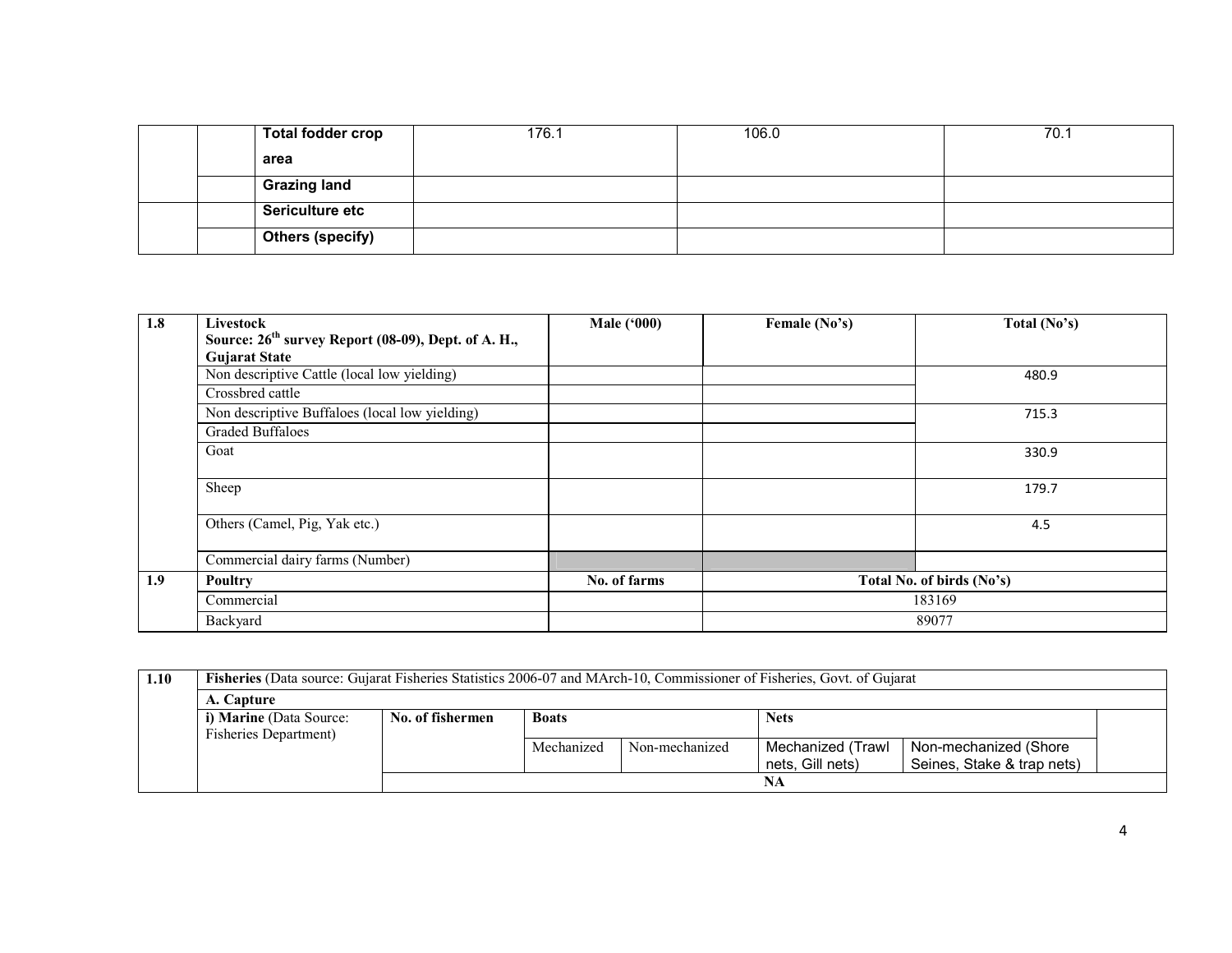| <b>Total fodder crop</b> | 176.1 | 106.0 | 70.1 |
|--------------------------|-------|-------|------|
| area                     |       |       |      |
| <b>Grazing land</b>      |       |       |      |
| Sericulture etc          |       |       |      |
| <b>Others (specify)</b>  |       |       |      |

| 1.8 | Livestock                                                       | <b>Male ('000)</b> | Female (No's) | Total $(No's)$            |
|-----|-----------------------------------------------------------------|--------------------|---------------|---------------------------|
|     | Source: 26 <sup>th</sup> survey Report (08-09), Dept. of A. H., |                    |               |                           |
|     | <b>Gujarat State</b>                                            |                    |               |                           |
|     | Non descriptive Cattle (local low yielding)                     |                    |               | 480.9                     |
|     | Crossbred cattle                                                |                    |               |                           |
|     | Non descriptive Buffaloes (local low yielding)                  |                    |               | 715.3                     |
|     | <b>Graded Buffaloes</b>                                         |                    |               |                           |
|     | Goat                                                            |                    |               | 330.9                     |
|     |                                                                 |                    |               |                           |
|     | Sheep                                                           |                    |               | 179.7                     |
|     | Others (Camel, Pig, Yak etc.)                                   |                    |               | 4.5                       |
|     |                                                                 |                    |               |                           |
|     | Commercial dairy farms (Number)                                 |                    |               |                           |
| 1.9 | <b>Poultry</b>                                                  | No. of farms       |               | Total No. of birds (No's) |
|     | Commercial                                                      |                    |               | 183169                    |
|     | Backyard                                                        |                    |               | 89077                     |

| 1.10 |                                                                            | <b>Fisheries</b> (Data source: Gujarat Fisheries Statistics 2006-07 and MArch-10, Commissioner of Fisheries, Govt. of Gujarat |            |                |                   |                            |  |  |  |  |  |
|------|----------------------------------------------------------------------------|-------------------------------------------------------------------------------------------------------------------------------|------------|----------------|-------------------|----------------------------|--|--|--|--|--|
|      | A. Capture                                                                 |                                                                                                                               |            |                |                   |                            |  |  |  |  |  |
|      | i) Marine (Data Source:<br><b>Nets</b><br>No. of fishermen<br><b>Boats</b> |                                                                                                                               |            |                |                   |                            |  |  |  |  |  |
|      | Fisheries Department)                                                      |                                                                                                                               |            |                |                   |                            |  |  |  |  |  |
|      |                                                                            |                                                                                                                               | Mechanized | Non-mechanized | Mechanized (Trawl | Non-mechanized (Shore      |  |  |  |  |  |
|      |                                                                            |                                                                                                                               |            |                | nets. Gill nets)  | Seines, Stake & trap nets) |  |  |  |  |  |
|      |                                                                            |                                                                                                                               |            |                | NA                |                            |  |  |  |  |  |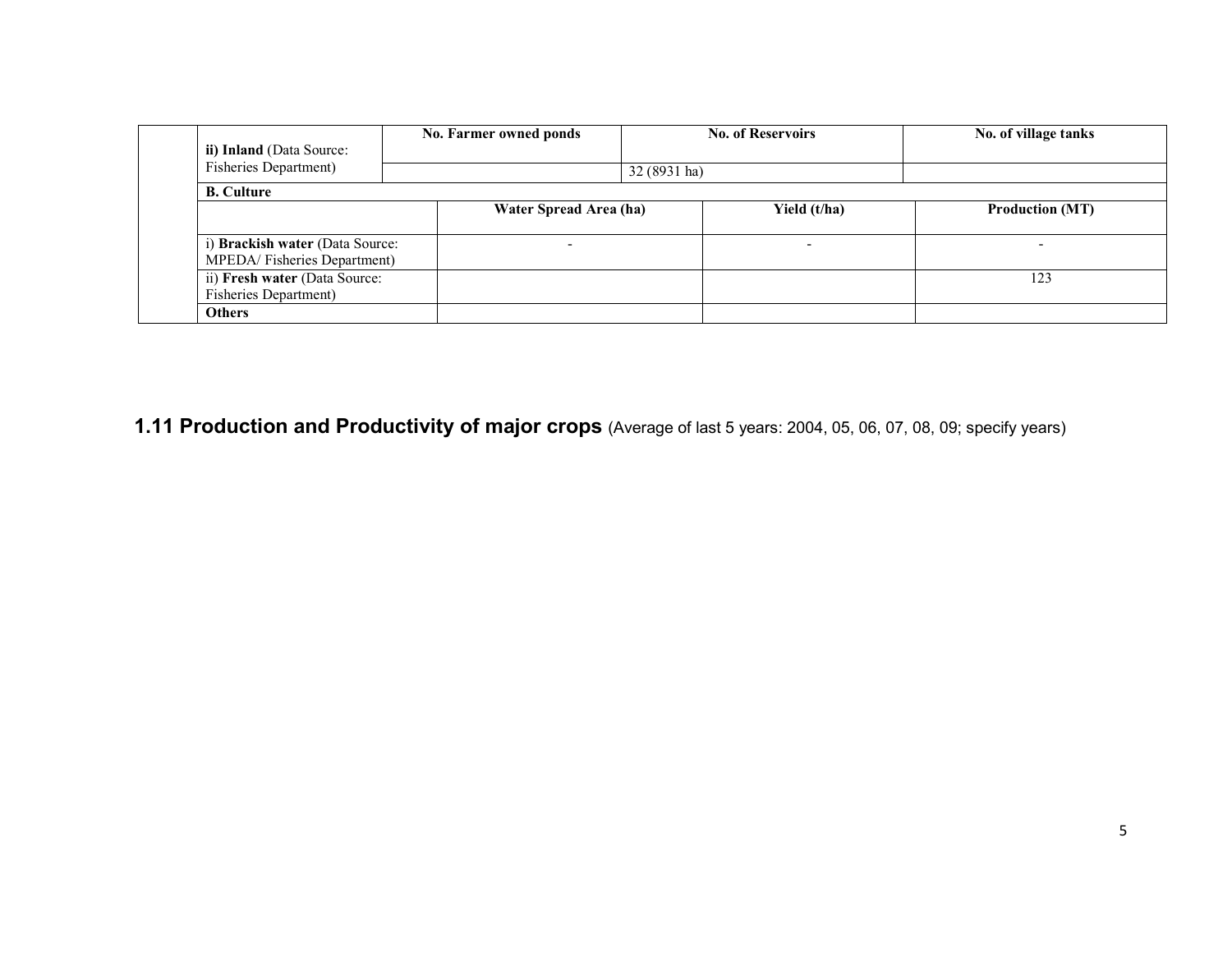| ii) Inland (Data Source:        | No. Farmer owned ponds |              | <b>No. of Reservoirs</b> | No. of village tanks   |
|---------------------------------|------------------------|--------------|--------------------------|------------------------|
| <b>Fisheries Department)</b>    |                        | 32 (8931 ha) |                          |                        |
| <b>B.</b> Culture               |                        |              |                          |                        |
|                                 | Water Spread Area (ha) |              | Yield (t/ha)             | <b>Production (MT)</b> |
|                                 |                        |              |                          |                        |
| i) Brackish water (Data Source: |                        |              |                          |                        |
| MPEDA/Fisheries Department)     |                        |              |                          |                        |
| ii) Fresh water (Data Source:   |                        |              |                          | 123                    |
| <b>Fisheries Department)</b>    |                        |              |                          |                        |
| <b>Others</b>                   |                        |              |                          |                        |

1.11 Production and Productivity of major crops (Average of last 5 years: 2004, 05, 06, 07, 08, 09; specify years)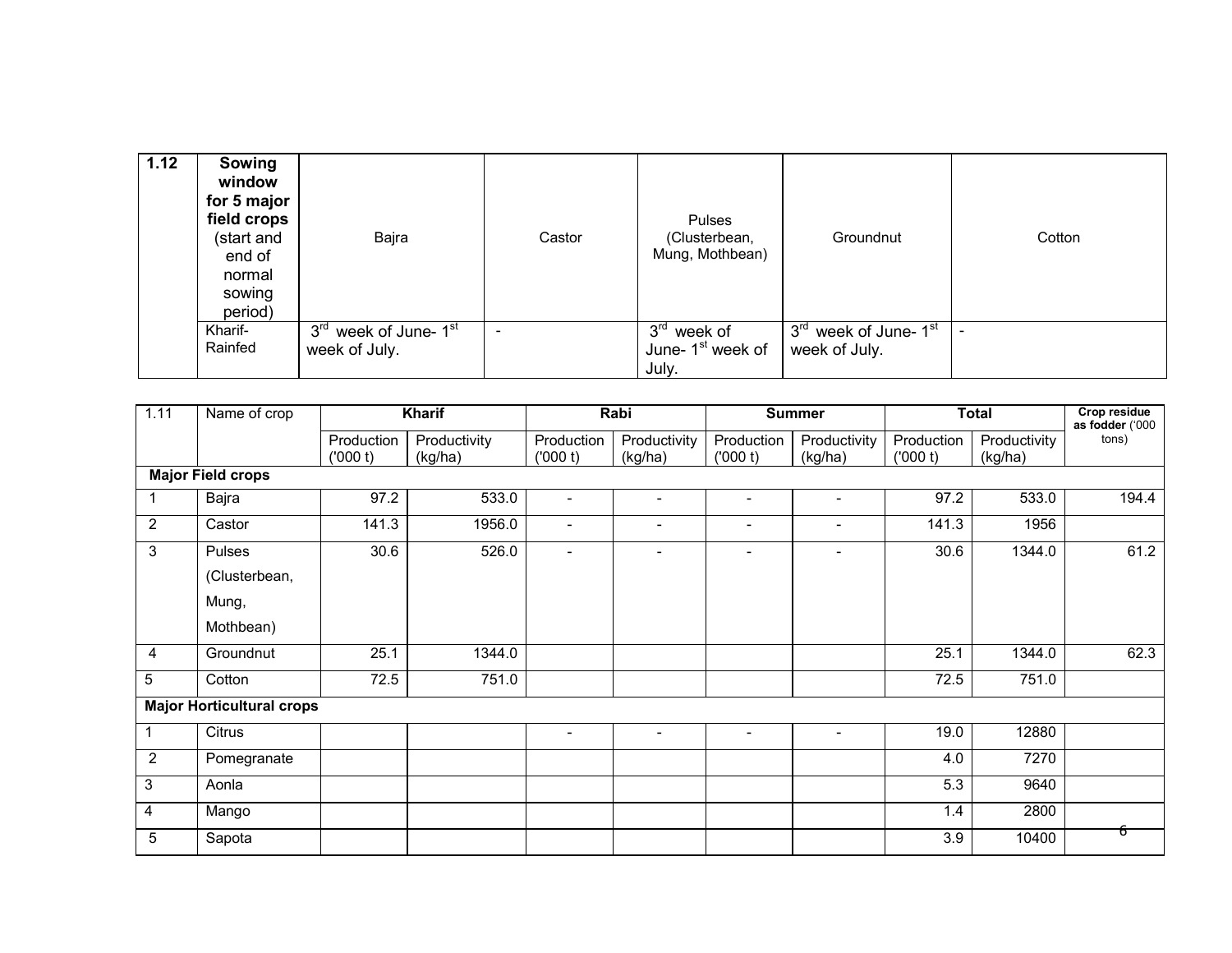| 1.12 | Sowing<br>window<br>for 5 major<br>field crops<br>(start and<br>end of<br>normal<br>sowing<br>period) | Bajra                                                                 | Castor                   | Pulses<br>(Clusterbean,<br>Mung, Mothbean)                       | Groundnut                                                      | Cotton |
|------|-------------------------------------------------------------------------------------------------------|-----------------------------------------------------------------------|--------------------------|------------------------------------------------------------------|----------------------------------------------------------------|--------|
|      | Kharif-<br>Rainfed                                                                                    | week of June- $\overline{1^{st}}$<br>3 <sup>rd</sup><br>week of July. | $\overline{\phantom{a}}$ | $3^{\text{rd}}$ week of<br>June-1 <sup>st</sup> week of<br>July. | 3 <sup>rd</sup> week of June- 1 <sup>st</sup><br>week of July. |        |

| 1.11                     | Name of crop                     | <b>Kharif</b> |              |                          | Rabi                     |                          | <b>Summer</b>            |            | <b>Total</b> | Crop residue<br>as fodder ('000 |
|--------------------------|----------------------------------|---------------|--------------|--------------------------|--------------------------|--------------------------|--------------------------|------------|--------------|---------------------------------|
|                          |                                  | Production    | Productivity | Production               | Productivity             | Production               | Productivity             | Production | Productivity | tons)                           |
|                          |                                  | (000 t)       | (kg/ha)      | (000 t)                  | (kg/ha)                  | (000 t)                  | (kg/ha)                  | (000 t)    | (kg/ha)      |                                 |
| <b>Major Field crops</b> |                                  |               |              |                          |                          |                          |                          |            |              |                                 |
|                          | Bajra                            | 97.2          | 533.0        | $\overline{\phantom{a}}$ | $\blacksquare$           | $\overline{\phantom{a}}$ | $\overline{\phantom{a}}$ | 97.2       | 533.0        | 194.4                           |
| $\overline{2}$           | Castor                           | 141.3         | 1956.0       | $\overline{\phantom{a}}$ | $\overline{\phantom{a}}$ | $\overline{\phantom{a}}$ | $\blacksquare$           | 141.3      | 1956         |                                 |
| 3                        | Pulses                           | 30.6          | 526.0        | $\overline{\phantom{a}}$ | $\overline{\phantom{0}}$ | $\overline{\phantom{a}}$ | $\overline{\phantom{0}}$ | 30.6       | 1344.0       | 61.2                            |
|                          | (Clusterbean,                    |               |              |                          |                          |                          |                          |            |              |                                 |
|                          | Mung,                            |               |              |                          |                          |                          |                          |            |              |                                 |
|                          | Mothbean)                        |               |              |                          |                          |                          |                          |            |              |                                 |
| 4                        | Groundnut                        | 25.1          | 1344.0       |                          |                          |                          |                          | 25.1       | 1344.0       | 62.3                            |
| 5                        | Cotton                           | 72.5          | 751.0        |                          |                          |                          |                          | 72.5       | 751.0        |                                 |
|                          | <b>Major Horticultural crops</b> |               |              |                          |                          |                          |                          |            |              |                                 |
| 1                        | Citrus                           |               |              | $\overline{\phantom{a}}$ | $\blacksquare$           | $\overline{\phantom{a}}$ | $\overline{\phantom{0}}$ | 19.0       | 12880        |                                 |
| $\overline{2}$           | Pomegranate                      |               |              |                          |                          |                          |                          | 4.0        | 7270         |                                 |
| 3                        | Aonla                            |               |              |                          |                          |                          |                          | 5.3        | 9640         |                                 |
| 4                        | Mango                            |               |              |                          |                          |                          |                          | 1.4        | 2800         |                                 |
| 5                        | Sapota                           |               |              |                          |                          |                          |                          | 3.9        | 10400        | চ                               |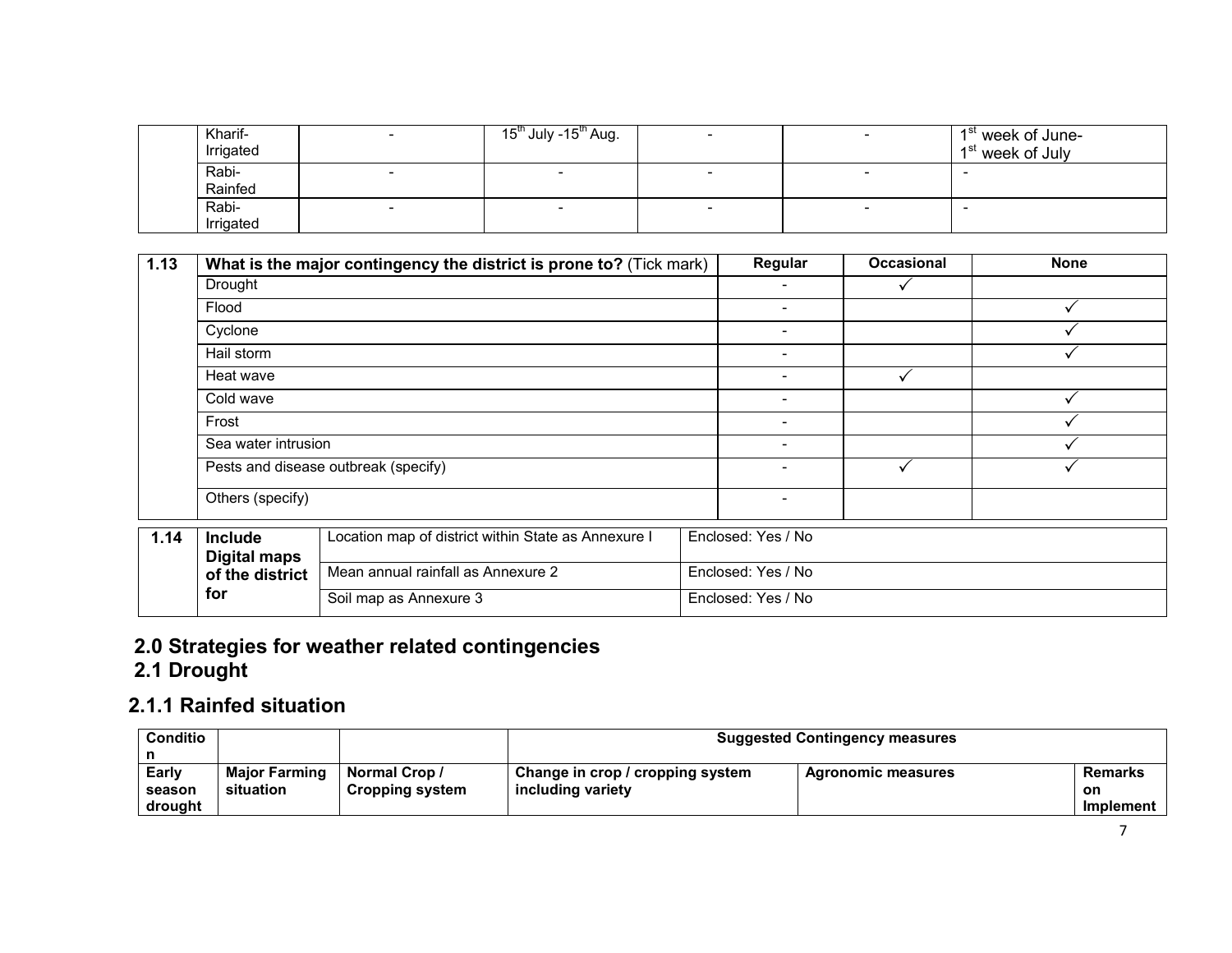| Kharif-<br>Irrigated |                          | 15 <sup>th</sup> July -15 <sup>th</sup> Aug. | $\overline{\phantom{0}}$ | 1 <sup>st</sup> week of June-<br>1 <sup>st</sup> week of July |
|----------------------|--------------------------|----------------------------------------------|--------------------------|---------------------------------------------------------------|
| Rabi-<br>Rainfed     |                          |                                              |                          |                                                               |
| Rabi-<br>Irrigated   | $\overline{\phantom{0}}$ |                                              | $\overline{\phantom{0}}$ |                                                               |

| 1.13 |                                       | What is the major contingency the district is prone to? (Tick mark) |                          | Regular                  | <b>Occasional</b>  | <b>None</b> |  |  |
|------|---------------------------------------|---------------------------------------------------------------------|--------------------------|--------------------------|--------------------|-------------|--|--|
|      | Drought                               |                                                                     | ۰                        |                          |                    |             |  |  |
|      | Flood                                 |                                                                     | $\overline{\phantom{0}}$ |                          |                    |             |  |  |
|      | Cyclone                               |                                                                     |                          | $\overline{\phantom{0}}$ |                    |             |  |  |
|      | Hail storm                            |                                                                     | ۰                        |                          |                    |             |  |  |
|      | Heat wave                             |                                                                     |                          | -                        | ✓                  |             |  |  |
|      | Cold wave                             |                                                                     | ۰.                       |                          |                    |             |  |  |
|      | Frost                                 |                                                                     |                          | $\overline{\phantom{0}}$ |                    |             |  |  |
|      | Sea water intrusion                   |                                                                     |                          | ۰                        |                    |             |  |  |
|      |                                       | Pests and disease outbreak (specify)                                |                          | ۰                        | ✓                  |             |  |  |
|      | Others (specify)                      |                                                                     |                          | ۰                        |                    |             |  |  |
| 1.14 | <b>Include</b><br><b>Digital maps</b> | Location map of district within State as Annexure I                 |                          | Enclosed: Yes / No       |                    |             |  |  |
|      | of the district                       | Mean annual rainfall as Annexure 2                                  |                          | Enclosed: Yes / No       |                    |             |  |  |
|      | for                                   | Soil map as Annexure 3                                              |                          |                          | Enclosed: Yes / No |             |  |  |

# 2.0 Strategies for weather related contingencies 2.1 Drought

# 2.1.1 Rainfed situation

| Conditio |                      | <b>Suggested Contingency measures</b> |                                  |                           |           |
|----------|----------------------|---------------------------------------|----------------------------------|---------------------------|-----------|
|          |                      |                                       |                                  |                           |           |
| Early    | <b>Major Farming</b> | <b>Normal Crop /</b>                  | Change in crop / cropping system | <b>Agronomic measures</b> | Remarks   |
| season   | situation            | <b>Cropping system</b>                | including variety                |                           | on        |
| drought  |                      |                                       |                                  |                           | Implement |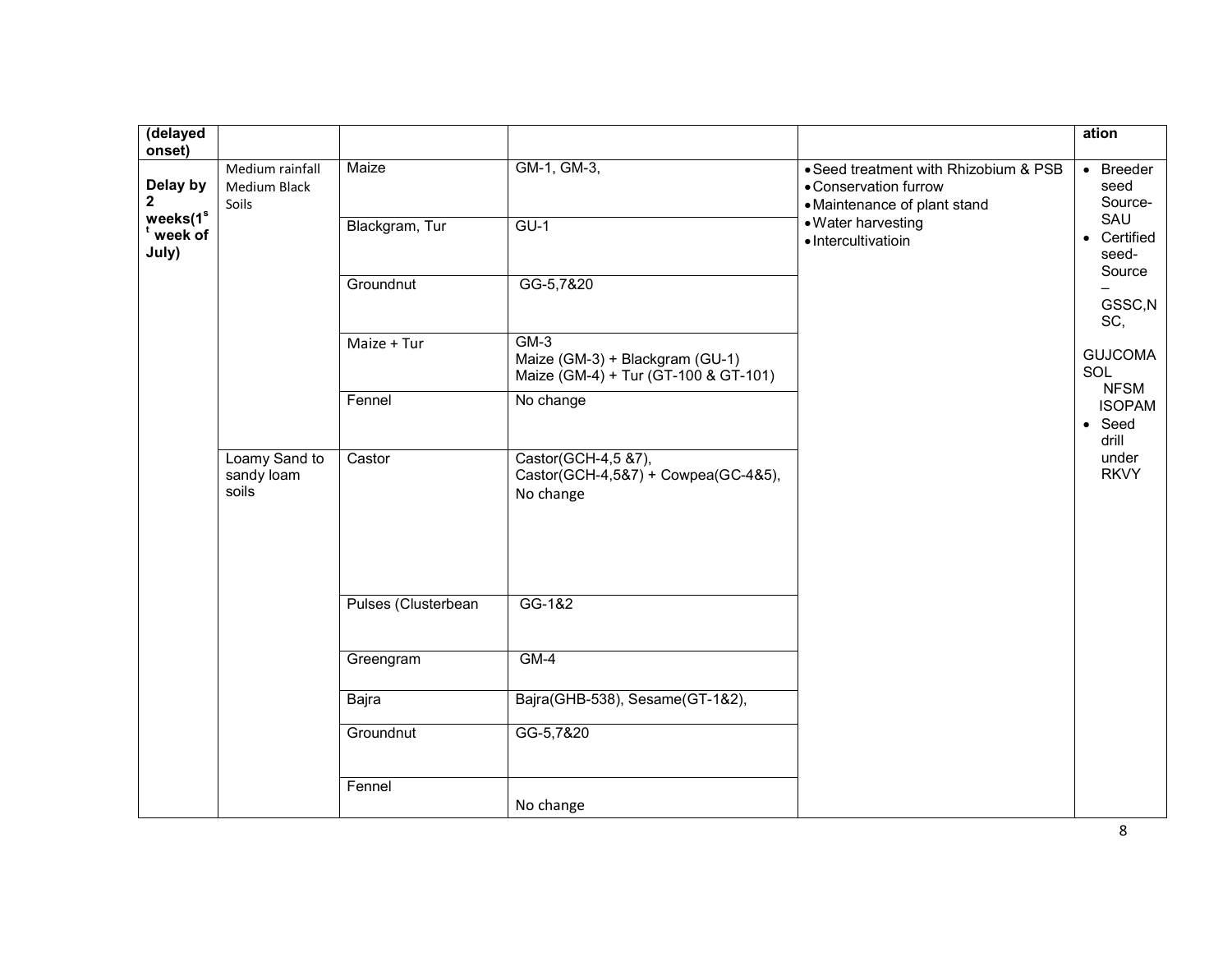| (delayed<br>onset)                    |                                          |                         |                                                                                   |                                                                                                                      | ation                                                                                                                                |
|---------------------------------------|------------------------------------------|-------------------------|-----------------------------------------------------------------------------------|----------------------------------------------------------------------------------------------------------------------|--------------------------------------------------------------------------------------------------------------------------------------|
| Delay by<br>2<br>weeks(1 <sup>s</sup> | Medium rainfall<br>Medium Black<br>Soils | Maize<br>Blackgram, Tur | GM-1, GM-3,<br>$GU-1$                                                             | • Seed treatment with Rhizobium & PSB<br>• Conservation furrow<br>• Maintenance of plant stand<br>• Water harvesting | • Breeder<br>seed<br>Source-<br>SAU                                                                                                  |
| week of<br>July)                      |                                          |                         |                                                                                   | · Intercultivatioin                                                                                                  | • Certified<br>seed-                                                                                                                 |
|                                       |                                          | Groundnut               | GG-5,7&20                                                                         |                                                                                                                      | Source<br>GSSC, N<br>SC,<br><b>GUJCOMA</b><br>SOL<br><b>NFSM</b><br><b>ISOPAM</b><br>$\bullet$ Seed<br>drill<br>under<br><b>RKVY</b> |
|                                       |                                          | Maize + Tur             | $GM-3$<br>Maize (GM-3) + Blackgram (GU-1)<br>Maize (GM-4) + Tur (GT-100 & GT-101) |                                                                                                                      |                                                                                                                                      |
|                                       |                                          | Fennel                  | No change                                                                         |                                                                                                                      |                                                                                                                                      |
|                                       | Loamy Sand to<br>sandy loam<br>soils     | Castor                  | Castor(GCH-4,5 &7),<br>Castor(GCH-4,5&7) + Cowpea(GC-4&5),<br>No change           |                                                                                                                      |                                                                                                                                      |
|                                       |                                          | Pulses (Clusterbean     | GG-1&2                                                                            |                                                                                                                      |                                                                                                                                      |
|                                       |                                          |                         |                                                                                   |                                                                                                                      |                                                                                                                                      |
|                                       |                                          | Greengram               | $GM-4$                                                                            |                                                                                                                      |                                                                                                                                      |
|                                       |                                          | Bajra                   | Bajra(GHB-538), Sesame(GT-1&2),                                                   |                                                                                                                      |                                                                                                                                      |
|                                       |                                          | Groundnut               | GG-5,7&20                                                                         |                                                                                                                      |                                                                                                                                      |
|                                       |                                          | Fennel                  | No change                                                                         |                                                                                                                      |                                                                                                                                      |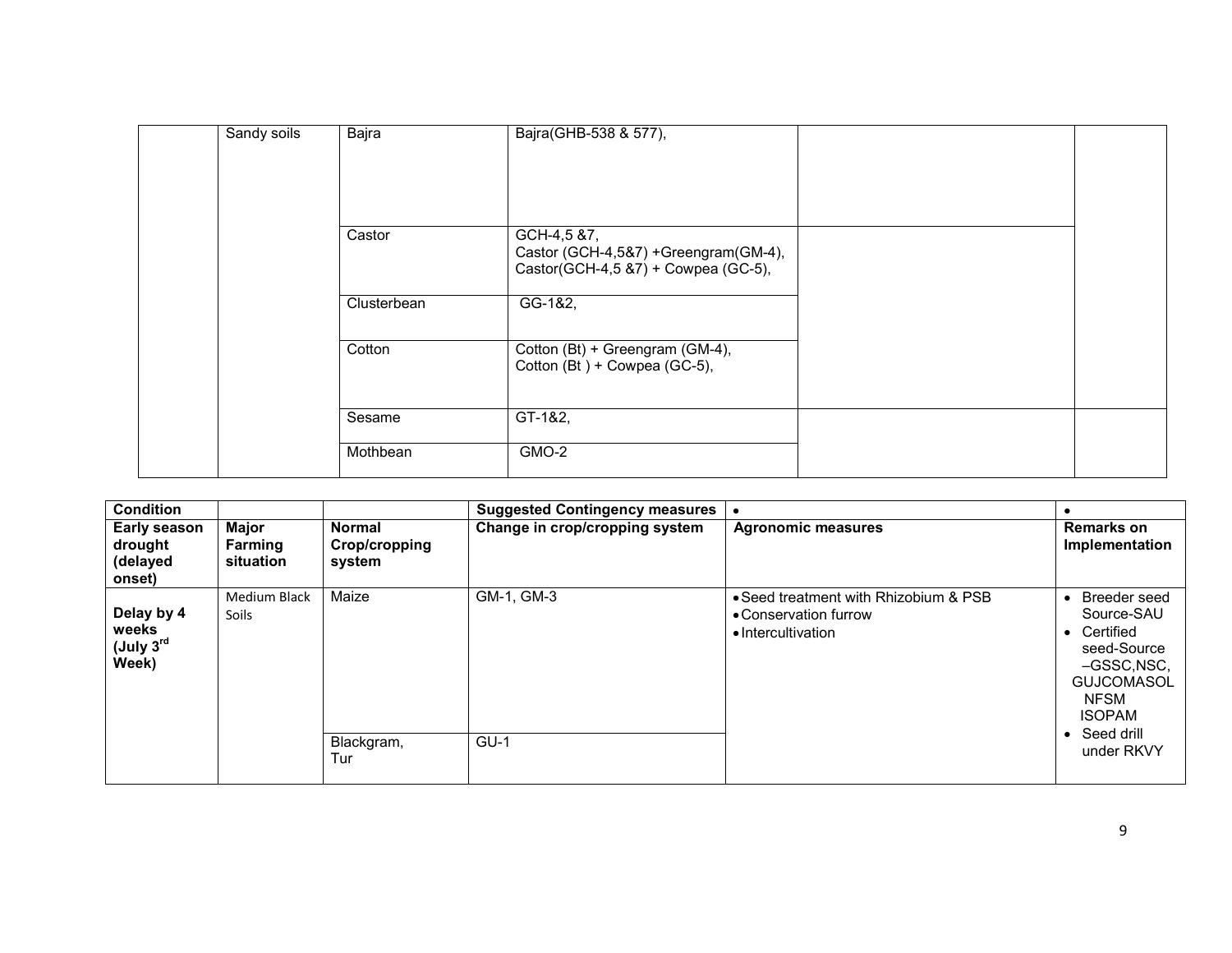| Sandy soils | Bajra       | Bajra(GHB-538 & 577),                                           |  |
|-------------|-------------|-----------------------------------------------------------------|--|
|             | Castor      | GCH-4,5 &7,<br>Castor (GCH-4,5&7) +Greengram(GM-4),             |  |
|             | Clusterbean | Castor(GCH-4,5 &7) + Cowpea (GC-5),<br>GG-1&2,                  |  |
|             | Cotton      | Cotton (Bt) + Greengram (GM-4),<br>Cotton (Bt) + Cowpea (GC-5), |  |
|             | Sesame      | GT-1&2,                                                         |  |
|             | Mothbean    | GMO-2                                                           |  |

| <b>Condition</b>                               |                                      |                                   | <b>Suggested Contingency measures</b> |                                                                                      | $\bullet$                                                                                                                                                                                     |
|------------------------------------------------|--------------------------------------|-----------------------------------|---------------------------------------|--------------------------------------------------------------------------------------|-----------------------------------------------------------------------------------------------------------------------------------------------------------------------------------------------|
| Early season<br>drought<br>(delayed<br>onset)  | <b>Major</b><br>Farming<br>situation | Normal<br>Crop/cropping<br>system | Change in crop/cropping system        | <b>Agronomic measures</b>                                                            | Remarks on<br>Implementation                                                                                                                                                                  |
| Delay by 4<br>weeks<br>$($ July $3rd$<br>Week) | <b>Medium Black</b><br>Soils         | Maize<br>Blackgram,<br>Tur        | GM-1, GM-3<br>$GU-1$                  | . Seed treatment with Rhizobium & PSB<br>• Conservation furrow<br>• Intercultivation | Breeder seed<br>$\bullet$<br>Source-SAU<br>Certified<br>$\bullet$<br>seed-Source<br>-GSSC, NSC,<br><b>GUJCOMASOL</b><br><b>NFSM</b><br><b>ISOPAM</b><br>Seed drill<br>$\bullet$<br>under RKVY |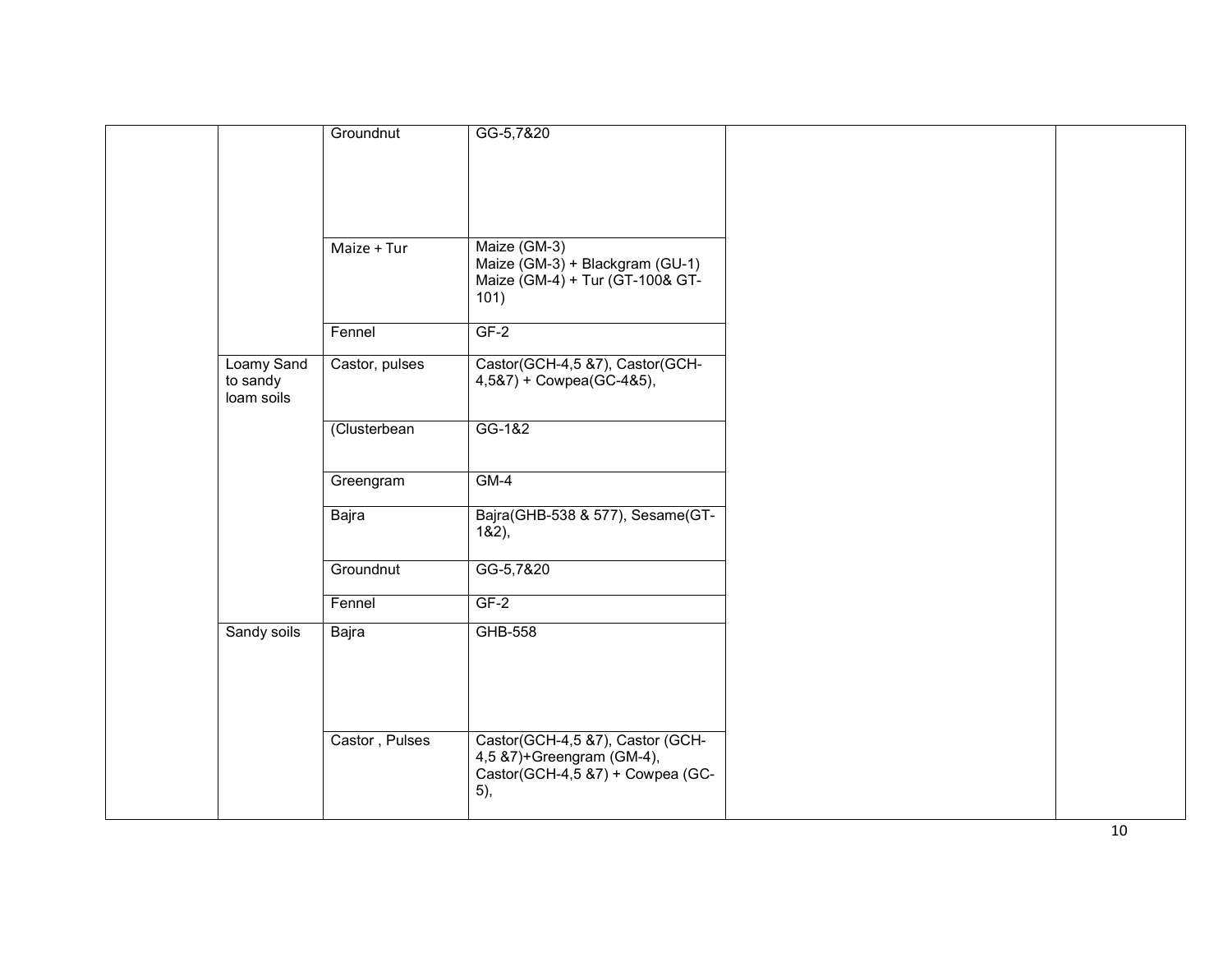|                                      | Groundnut      | GG-5,7&20                                                                                                |  |
|--------------------------------------|----------------|----------------------------------------------------------------------------------------------------------|--|
|                                      | Maize + Tur    | Maize (GM-3)<br>Maize (GM-3) + Blackgram (GU-1)<br>Maize (GM-4) + Tur (GT-100& GT-<br>101)               |  |
|                                      | Fennel         | $GF-2$                                                                                                   |  |
| Loamy Sand<br>to sandy<br>loam soils | Castor, pulses | Castor(GCH-4,5 &7), Castor(GCH-<br>4,5&7) + Cowpea(GC-4&5),                                              |  |
|                                      | (Clusterbean   | GG-1&2                                                                                                   |  |
|                                      | Greengram      | $GM-4$                                                                                                   |  |
|                                      | Bajra          | Bajra(GHB-538 & 577), Sesame(GT-<br>182,                                                                 |  |
|                                      | Groundnut      | GG-5,7&20                                                                                                |  |
|                                      | Fennel         | $GF-2$                                                                                                   |  |
| Sandy soils                          | Bajra          | GHB-558                                                                                                  |  |
|                                      | Castor, Pulses | Castor(GCH-4,5 &7), Castor (GCH-<br>4,5 &7)+Greengram (GM-4),<br>Castor(GCH-4,5 &7) + Cowpea (GC-<br>5), |  |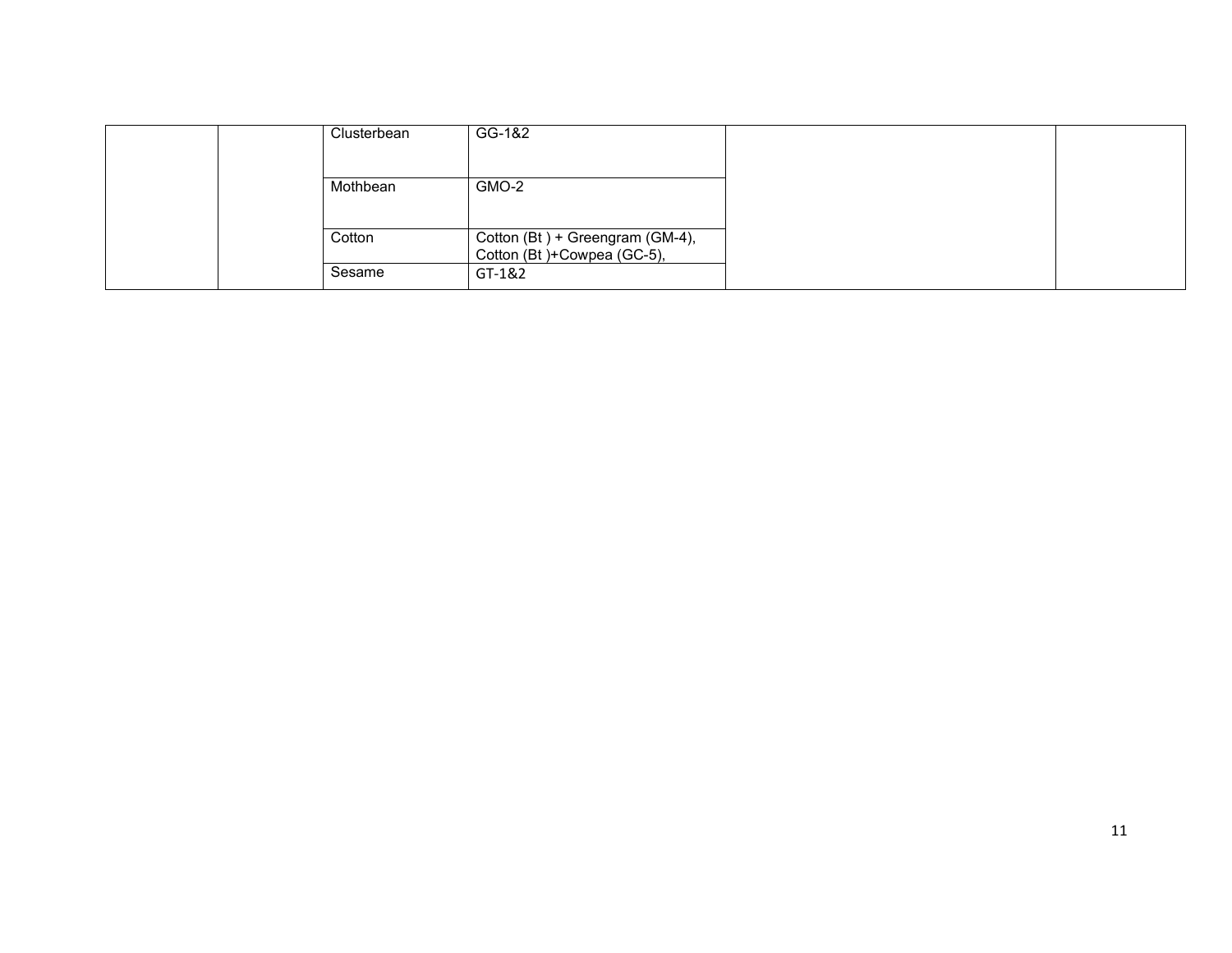|  | Clusterbean | GG-1&2                                                          |  |
|--|-------------|-----------------------------------------------------------------|--|
|  |             |                                                                 |  |
|  | Mothbean    | GMO-2                                                           |  |
|  |             |                                                                 |  |
|  | Cotton      | Cotton (Bt) + Greengram (GM-4),<br>Cotton (Bt) + Cowpea (GC-5), |  |
|  | Sesame      | GT-1&2                                                          |  |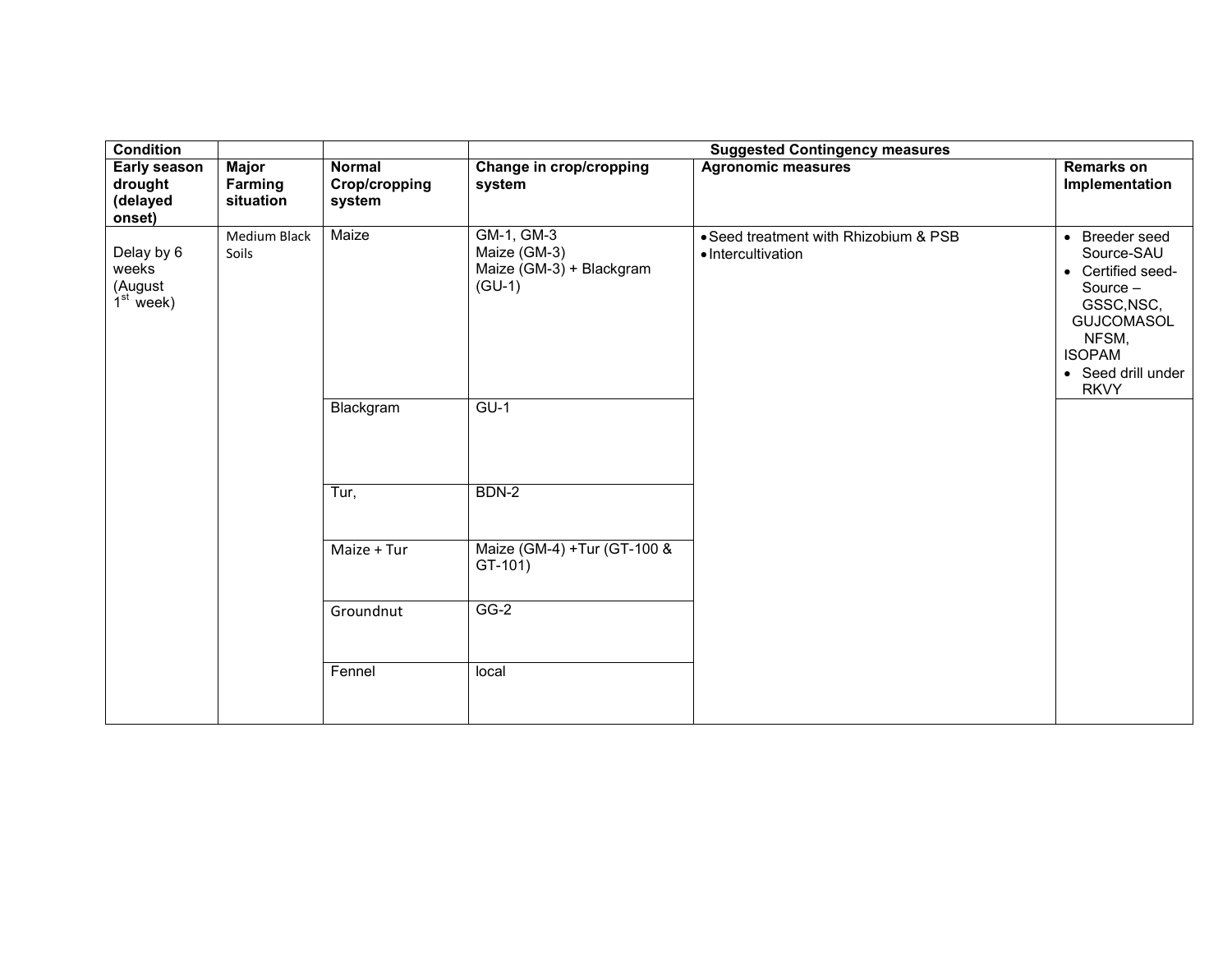| <b>Condition</b>                              |                                      |                                          |                                                                    | <b>Suggested Contingency measures</b>                       |                                                                                                                                                          |
|-----------------------------------------------|--------------------------------------|------------------------------------------|--------------------------------------------------------------------|-------------------------------------------------------------|----------------------------------------------------------------------------------------------------------------------------------------------------------|
| Early season<br>drought<br>(delayed<br>onset) | <b>Major</b><br>Farming<br>situation | <b>Normal</b><br>Crop/cropping<br>system | Change in crop/cropping<br>system                                  | <b>Agronomic measures</b>                                   | <b>Remarks on</b><br>Implementation                                                                                                                      |
| Delay by 6<br>weeks<br>(August<br>$1st$ week) | <b>Medium Black</b><br>Soils         | Maize                                    | GM-1, GM-3<br>Maize (GM-3)<br>Maize (GM-3) + Blackgram<br>$(GU-1)$ | • Seed treatment with Rhizobium & PSB<br>• Intercultivation | • Breeder seed<br>Source-SAU<br>• Certified seed-<br>Source -<br>GSSC, NSC,<br>GUJCOMASOL<br>NFSM,<br><b>ISOPAM</b><br>• Seed drill under<br><b>RKVY</b> |
|                                               |                                      | Blackgram                                | $GU-1$                                                             |                                                             |                                                                                                                                                          |
|                                               |                                      | Tur,                                     | BDN-2                                                              |                                                             |                                                                                                                                                          |
|                                               |                                      | Maize + Tur                              | Maize (GM-4) +Tur (GT-100 &<br>$GT-101)$                           |                                                             |                                                                                                                                                          |
|                                               |                                      | Groundnut                                | $GG-2$                                                             |                                                             |                                                                                                                                                          |
|                                               |                                      | Fennel                                   | local                                                              |                                                             |                                                                                                                                                          |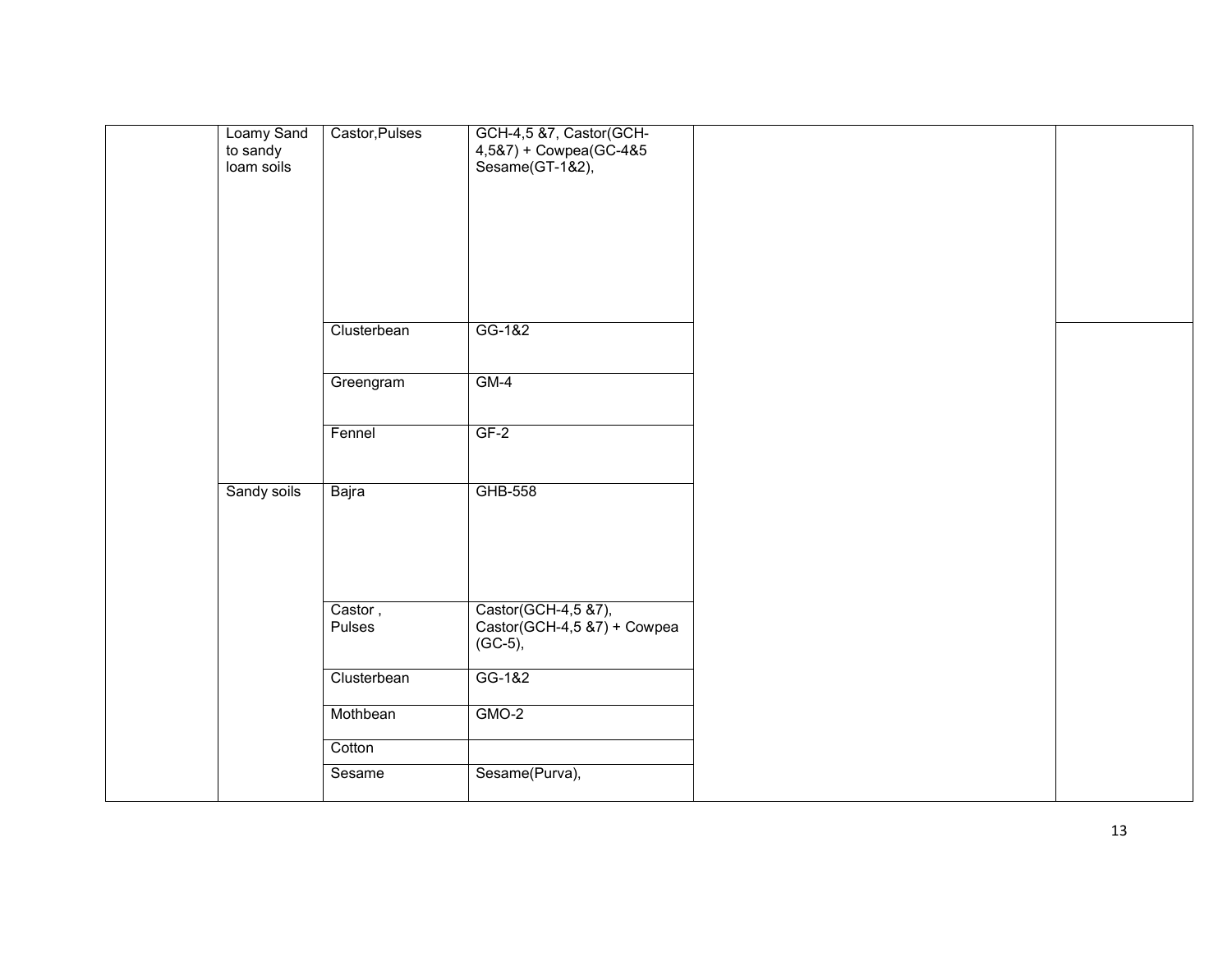| Loamy Sand<br>to sandy<br>loam soils | Castor, Pulses    | GCH-4,5 &7, Castor(GCH-<br>$4,587$ + Cowpea(GC-485<br>Sesame(GT-1&2), |  |
|--------------------------------------|-------------------|-----------------------------------------------------------------------|--|
|                                      | Clusterbean       | GG-1&2                                                                |  |
|                                      | Greengram         | $GM-4$                                                                |  |
|                                      | Fennel            | $GF-2$                                                                |  |
| Sandy soils                          | Bajra             | GHB-558                                                               |  |
|                                      | Castor,<br>Pulses | Castor(GCH-4,5 &7),<br>Castor(GCH-4,5 &7) + Cowpea<br>$(GC-5),$       |  |
|                                      | Clusterbean       | GG-1&2                                                                |  |
|                                      | Mothbean          | $GMO-2$                                                               |  |
|                                      | Cotton<br>Sesame  | Sesame(Purva),                                                        |  |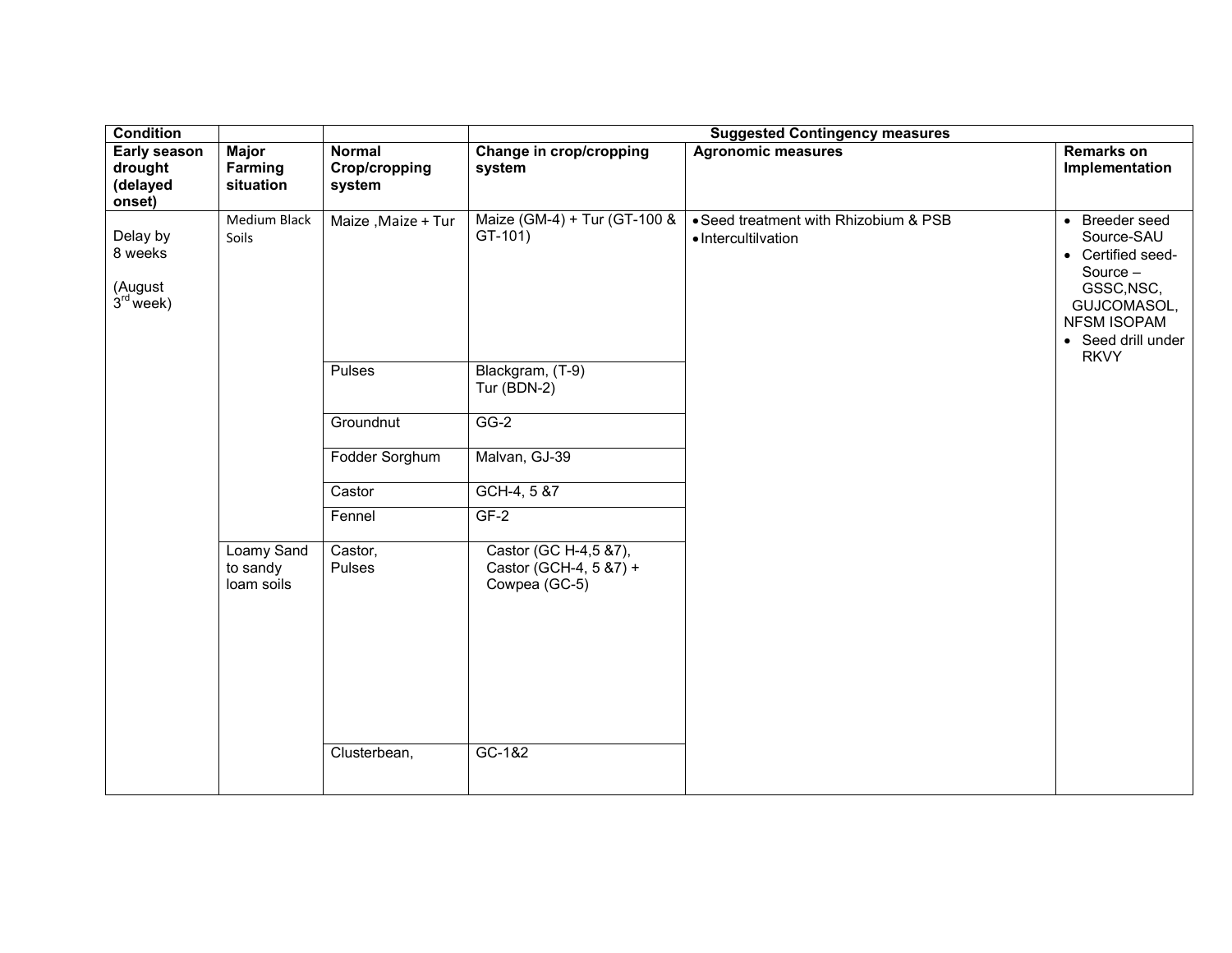| <b>Condition</b>                                     |                                      |                                                  |                                                                                        | <b>Suggested Contingency measures</b>                        |                                                                                                                                                |
|------------------------------------------------------|--------------------------------------|--------------------------------------------------|----------------------------------------------------------------------------------------|--------------------------------------------------------------|------------------------------------------------------------------------------------------------------------------------------------------------|
| <b>Early season</b><br>drought<br>(delayed<br>onset) | <b>Major</b><br>Farming<br>situation | <b>Normal</b><br>Crop/cropping<br>system         | Change in crop/cropping<br>system                                                      | <b>Agronomic measures</b>                                    | <b>Remarks on</b><br>Implementation                                                                                                            |
| Delay by<br>8 weeks<br>(August<br>$3rd$ week)        | Medium Black<br>Soils                | Maize, Maize + Tur<br><b>Pulses</b><br>Groundnut | Maize (GM-4) + Tur (GT-100 &<br>$GT-101)$<br>Blackgram, (T-9)<br>Tur (BDN-2)<br>$GG-2$ | • Seed treatment with Rhizobium & PSB<br>· Intercultilvation | • Breeder seed<br>Source-SAU<br>• Certified seed-<br>Source -<br>GSSC, NSC,<br>GUJCOMASOL,<br>NFSM ISOPAM<br>• Seed drill under<br><b>RKVY</b> |
|                                                      |                                      | Fodder Sorghum                                   | Malvan, GJ-39                                                                          |                                                              |                                                                                                                                                |
|                                                      |                                      | Castor                                           | GCH-4, 5 &7                                                                            |                                                              |                                                                                                                                                |
|                                                      |                                      | Fennel                                           | $GF-2$                                                                                 |                                                              |                                                                                                                                                |
|                                                      | Loamy Sand<br>to sandy<br>loam soils | Castor,<br>Pulses<br>Clusterbean,                | Castor (GC H-4,5 &7),<br>Castor (GCH-4, 5 & 7) +<br>Cowpea (GC-5)<br>GC-1&2            |                                                              |                                                                                                                                                |
|                                                      |                                      |                                                  |                                                                                        |                                                              |                                                                                                                                                |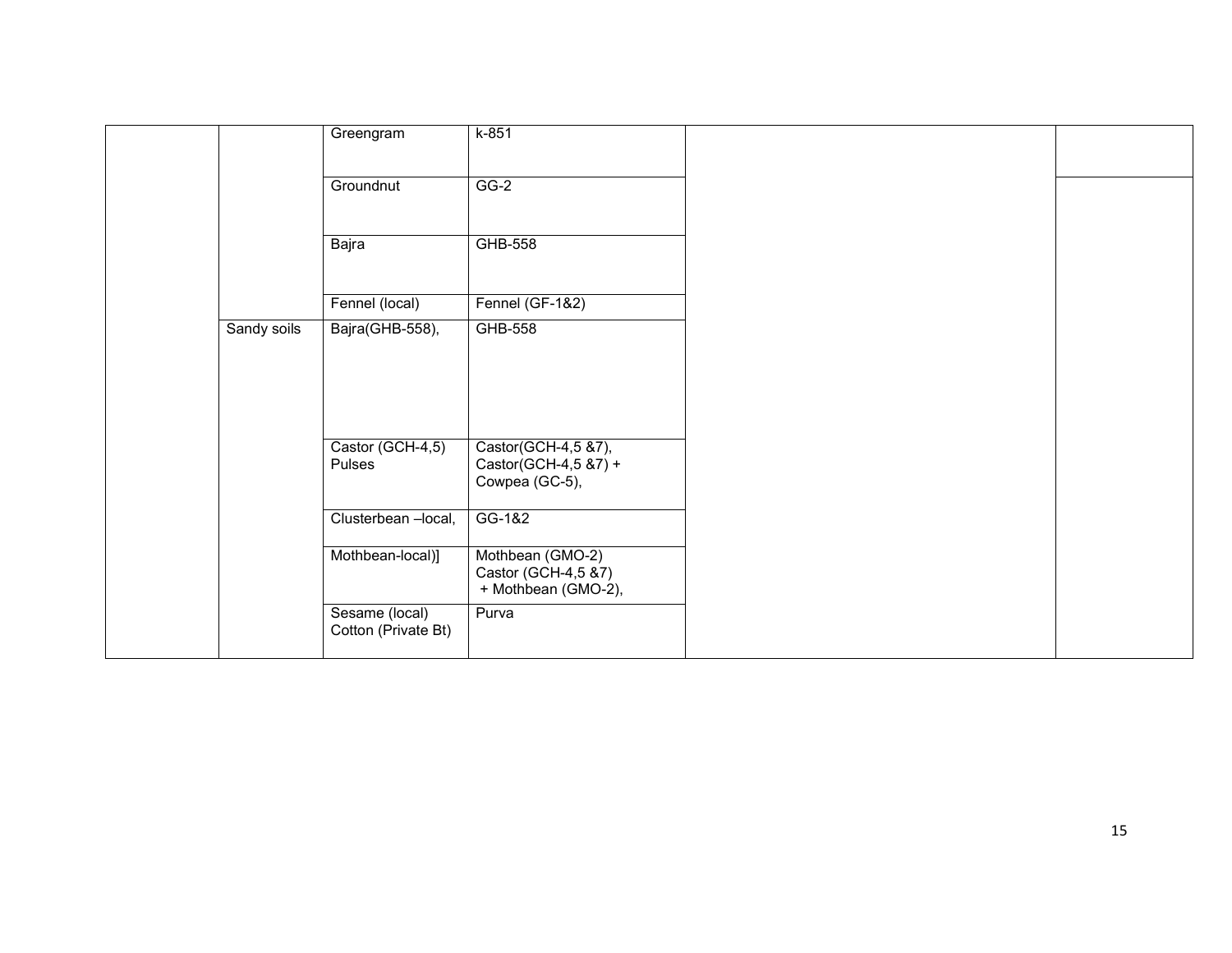|             | Greengram                             | $k-851$                                                        |  |
|-------------|---------------------------------------|----------------------------------------------------------------|--|
|             | Groundnut                             | $GG-2$                                                         |  |
|             | Bajra                                 | <b>GHB-558</b>                                                 |  |
|             | Fennel (local)                        | Fennel (GF-1&2)                                                |  |
| Sandy soils | Bajra(GHB-558),                       | <b>GHB-558</b>                                                 |  |
|             | Castor (GCH-4,5)<br>Pulses            | Castor(GCH-4,5 &7),<br>Castor(GCH-4,5 &7) +<br>Cowpea (GC-5),  |  |
|             | Clusterbean -local,                   | GG-1&2                                                         |  |
|             | Mothbean-local)]                      | Mothbean (GMO-2)<br>Castor (GCH-4,5 &7)<br>+ Mothbean (GMO-2), |  |
|             | Sesame (local)<br>Cotton (Private Bt) | Purva                                                          |  |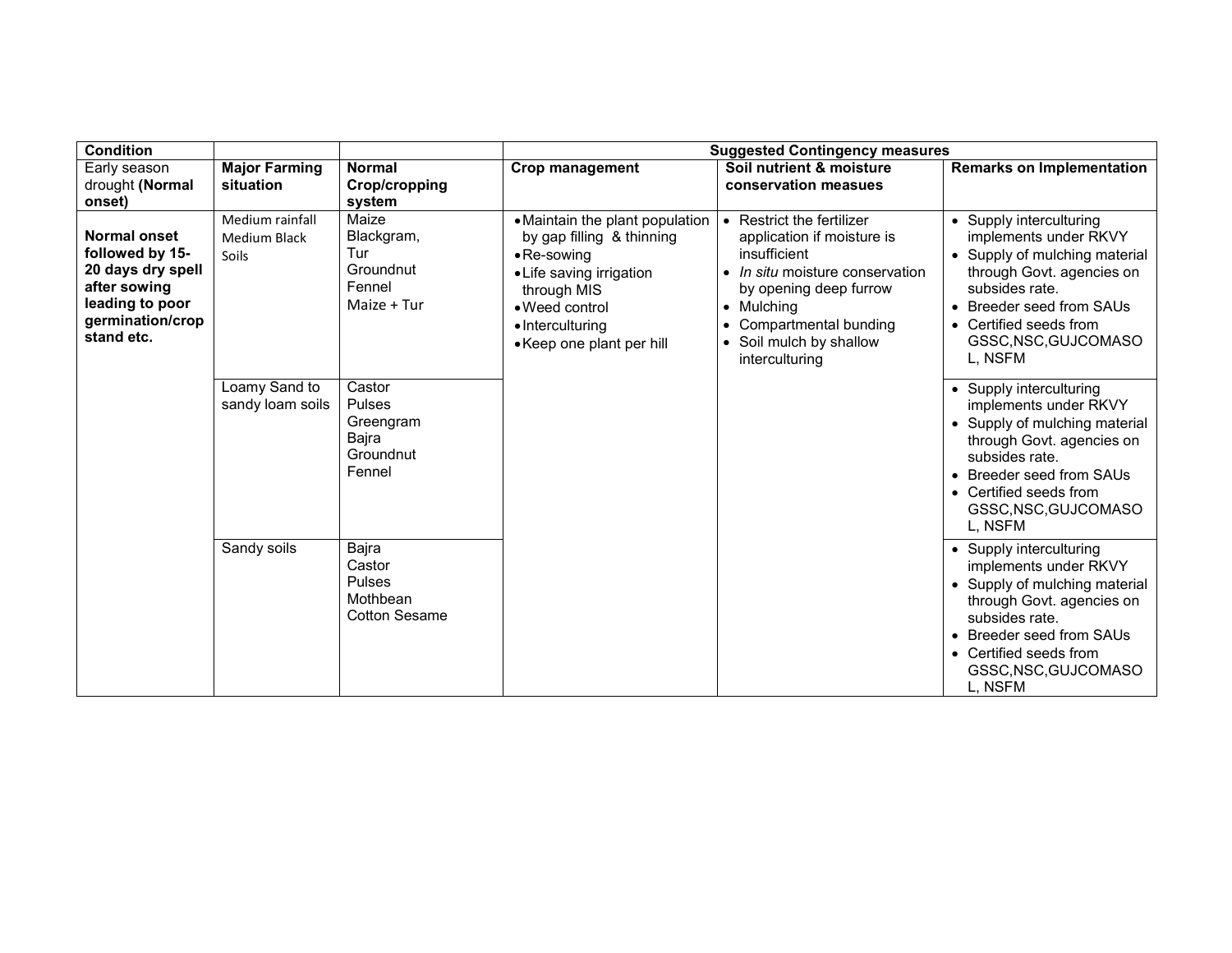| <b>Condition</b>                                                                                                                 |                                                        |                                                                  | <b>Suggested Contingency measures</b>                                                                                                                                                             |                                                                                                                                                                                                                                  |                                                                                                                                                                                                                           |  |  |
|----------------------------------------------------------------------------------------------------------------------------------|--------------------------------------------------------|------------------------------------------------------------------|---------------------------------------------------------------------------------------------------------------------------------------------------------------------------------------------------|----------------------------------------------------------------------------------------------------------------------------------------------------------------------------------------------------------------------------------|---------------------------------------------------------------------------------------------------------------------------------------------------------------------------------------------------------------------------|--|--|
| Early season<br>drought (Normal<br>onset)                                                                                        | <b>Major Farming</b><br>situation                      | <b>Normal</b><br>Crop/cropping<br>system                         | <b>Crop management</b>                                                                                                                                                                            | Soil nutrient & moisture<br>conservation measues                                                                                                                                                                                 | <b>Remarks on Implementation</b>                                                                                                                                                                                          |  |  |
| <b>Normal onset</b><br>followed by 15-<br>20 days dry spell<br>after sowing<br>leading to poor<br>germination/crop<br>stand etc. | Medium rainfall<br><b>Medium Black</b><br><b>Soils</b> | Maize<br>Blackgram,<br>Tur<br>Groundnut<br>Fennel<br>Maize + Tur | • Maintain the plant population<br>by gap filling & thinning<br>$\bullet$ Re-sowing<br>• Life saving irrigation<br>through MIS<br>• Weed control<br>• Interculturing<br>• Keep one plant per hill | • Restrict the fertilizer<br>application if moisture is<br>insufficient<br>• In situ moisture conservation<br>by opening deep furrow<br>$\bullet$ Mulching<br>Compartmental bunding<br>• Soil mulch by shallow<br>interculturing | • Supply interculturing<br>implements under RKVY<br>• Supply of mulching material<br>through Govt. agencies on<br>subsides rate.<br>• Breeder seed from SAUs<br>• Certified seeds from<br>GSSC, NSC, GUJCOMASO<br>L, NSFM |  |  |
|                                                                                                                                  | Loamy Sand to<br>sandy loam soils                      | Castor<br>Pulses<br>Greengram<br>Bajra<br>Groundnut<br>Fennel    |                                                                                                                                                                                                   |                                                                                                                                                                                                                                  | • Supply interculturing<br>implements under RKVY<br>• Supply of mulching material<br>through Govt. agencies on<br>subsides rate.<br>• Breeder seed from SAUs<br>• Certified seeds from<br>GSSC, NSC, GUJCOMASO<br>L. NSFM |  |  |
|                                                                                                                                  | Sandy soils                                            | Bajra<br>Castor<br>Pulses<br>Mothbean<br><b>Cotton Sesame</b>    |                                                                                                                                                                                                   |                                                                                                                                                                                                                                  | • Supply interculturing<br>implements under RKVY<br>• Supply of mulching material<br>through Govt. agencies on<br>subsides rate.<br>• Breeder seed from SAUs<br>• Certified seeds from<br>GSSC, NSC, GUJCOMASO<br>L, NSFM |  |  |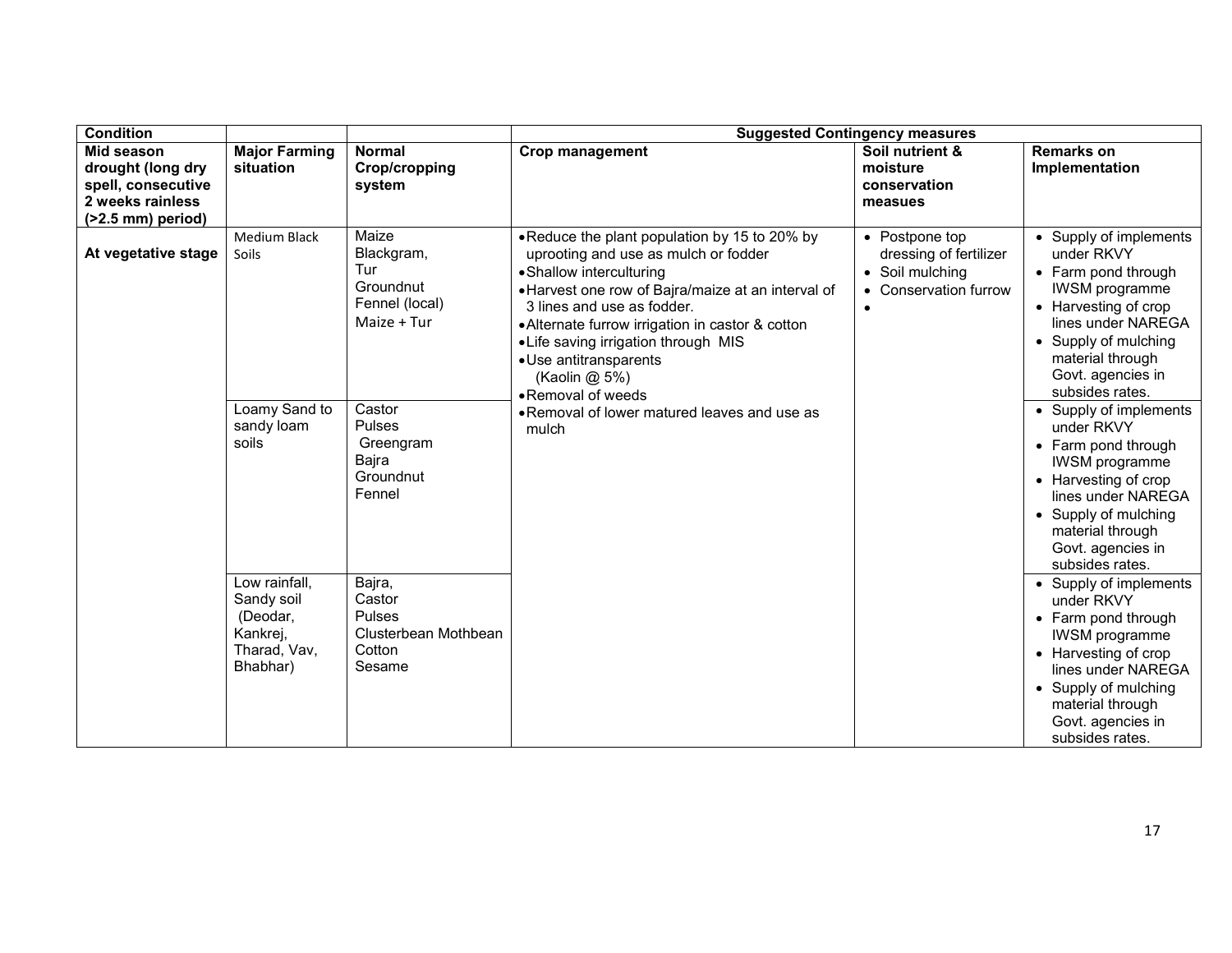| <b>Condition</b>                                                                                               |                                                                                 |                                                                          | <b>Suggested Contingency measures</b>                                                                                                                                                                                                                                                                                                                              |                                                                                                   |                                                                                                                                                                                                                        |  |
|----------------------------------------------------------------------------------------------------------------|---------------------------------------------------------------------------------|--------------------------------------------------------------------------|--------------------------------------------------------------------------------------------------------------------------------------------------------------------------------------------------------------------------------------------------------------------------------------------------------------------------------------------------------------------|---------------------------------------------------------------------------------------------------|------------------------------------------------------------------------------------------------------------------------------------------------------------------------------------------------------------------------|--|
| <b>Mid season</b><br>drought (long dry<br>spell, consecutive<br>2 weeks rainless<br>$($ >2.5 mm $)$ period $)$ | <b>Major Farming</b><br>situation                                               | <b>Normal</b><br><b>Crop/cropping</b><br>system                          | <b>Crop management</b>                                                                                                                                                                                                                                                                                                                                             | Soil nutrient &<br>moisture<br>conservation<br>measues                                            | <b>Remarks on</b><br>Implementation                                                                                                                                                                                    |  |
| At vegetative stage                                                                                            | Medium Black<br>Soils                                                           | Maize<br>Blackgram,<br>Tur<br>Groundnut<br>Fennel (local)<br>Maize + Tur | . Reduce the plant population by 15 to 20% by<br>uprooting and use as mulch or fodder<br>• Shallow interculturing<br>• Harvest one row of Bajra/maize at an interval of<br>3 lines and use as fodder.<br>• Alternate furrow irrigation in castor & cotton<br>• Life saving irrigation through MIS<br>• Use antitransparents<br>(Kaolin @ 5%)<br>• Removal of weeds | • Postpone top<br>dressing of fertilizer<br>• Soil mulching<br>• Conservation furrow<br>$\bullet$ | • Supply of implements<br>under RKVY<br>• Farm pond through<br><b>IWSM</b> programme<br>• Harvesting of crop<br>lines under NAREGA<br>• Supply of mulching<br>material through<br>Govt. agencies in<br>subsides rates. |  |
|                                                                                                                | Loamy Sand to<br>sandy loam<br>soils                                            | Castor<br>Pulses<br>Greengram<br>Bajra<br>Groundnut<br>Fennel            | • Removal of lower matured leaves and use as<br>mulch                                                                                                                                                                                                                                                                                                              |                                                                                                   | • Supply of implements<br>under RKVY<br>• Farm pond through<br><b>IWSM</b> programme<br>• Harvesting of crop<br>lines under NAREGA<br>• Supply of mulching<br>material through<br>Govt. agencies in<br>subsides rates. |  |
|                                                                                                                | Low rainfall,<br>Sandy soil<br>(Deodar,<br>Kankrej,<br>Tharad, Vav,<br>Bhabhar) | Bajra,<br>Castor<br>Pulses<br>Clusterbean Mothbean<br>Cotton<br>Sesame   |                                                                                                                                                                                                                                                                                                                                                                    |                                                                                                   | • Supply of implements<br>under RKVY<br>• Farm pond through<br><b>IWSM</b> programme<br>• Harvesting of crop<br>lines under NAREGA<br>• Supply of mulching<br>material through<br>Govt. agencies in<br>subsides rates. |  |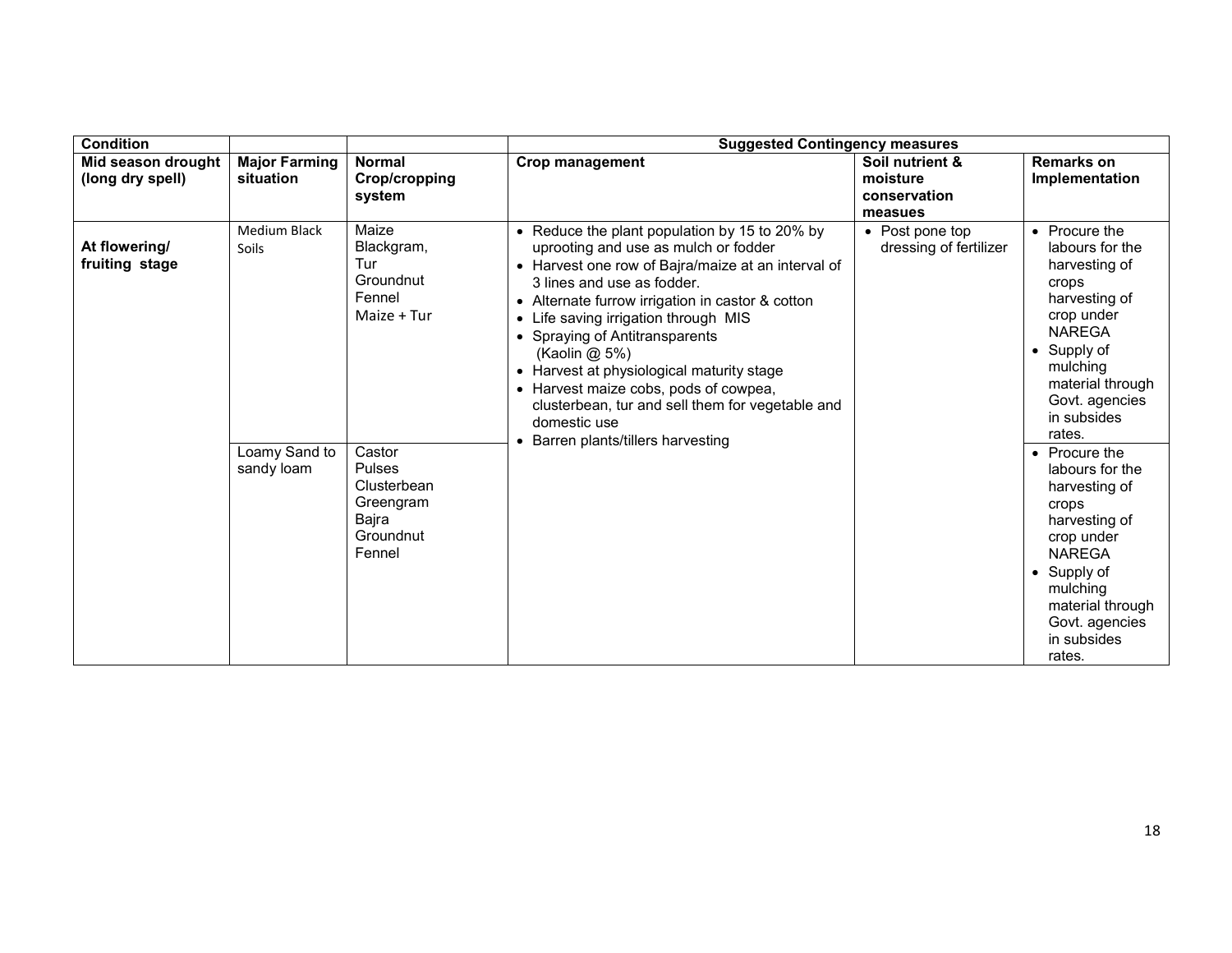| <b>Condition</b>                       |                                                      |                                                                                                                                                  | <b>Suggested Contingency measures</b>                                                                                                                                                                                                                                                                                                                                                                                                                                                                                             |                                                        |                                                                                                                                                                                                                                                                                                                                                                                                                      |  |
|----------------------------------------|------------------------------------------------------|--------------------------------------------------------------------------------------------------------------------------------------------------|-----------------------------------------------------------------------------------------------------------------------------------------------------------------------------------------------------------------------------------------------------------------------------------------------------------------------------------------------------------------------------------------------------------------------------------------------------------------------------------------------------------------------------------|--------------------------------------------------------|----------------------------------------------------------------------------------------------------------------------------------------------------------------------------------------------------------------------------------------------------------------------------------------------------------------------------------------------------------------------------------------------------------------------|--|
| Mid season drought<br>(long dry spell) | <b>Major Farming</b><br>situation                    | <b>Normal</b><br>Crop/cropping<br>system                                                                                                         | Crop management                                                                                                                                                                                                                                                                                                                                                                                                                                                                                                                   | Soil nutrient &<br>moisture<br>conservation<br>measues | <b>Remarks on</b><br>Implementation                                                                                                                                                                                                                                                                                                                                                                                  |  |
| At flowering/<br>fruiting stage        | Medium Black<br>Soils<br>Loamy Sand to<br>sandy loam | Maize<br>Blackgram,<br>Tur<br>Groundnut<br>Fennel<br>Maize + Tur<br>Castor<br>Pulses<br>Clusterbean<br>Greengram<br>Bajra<br>Groundnut<br>Fennel | • Reduce the plant population by 15 to 20% by<br>uprooting and use as mulch or fodder<br>• Harvest one row of Bajra/maize at an interval of<br>3 lines and use as fodder.<br>• Alternate furrow irrigation in castor & cotton<br>Life saving irrigation through MIS<br>$\bullet$<br>• Spraying of Antitransparents<br>(Kaolin @ 5%)<br>• Harvest at physiological maturity stage<br>• Harvest maize cobs, pods of cowpea,<br>clusterbean, tur and sell them for vegetable and<br>domestic use<br>Barren plants/tillers harvesting | • Post pone top<br>dressing of fertilizer              | • Procure the<br>labours for the<br>harvesting of<br>crops<br>harvesting of<br>crop under<br><b>NAREGA</b><br>$\bullet$ Supply of<br>mulching<br>material through<br>Govt. agencies<br>in subsides<br>rates.<br>• Procure the<br>labours for the<br>harvesting of<br>crops<br>harvesting of<br>crop under<br><b>NAREGA</b><br>• Supply of<br>mulching<br>material through<br>Govt. agencies<br>in subsides<br>rates. |  |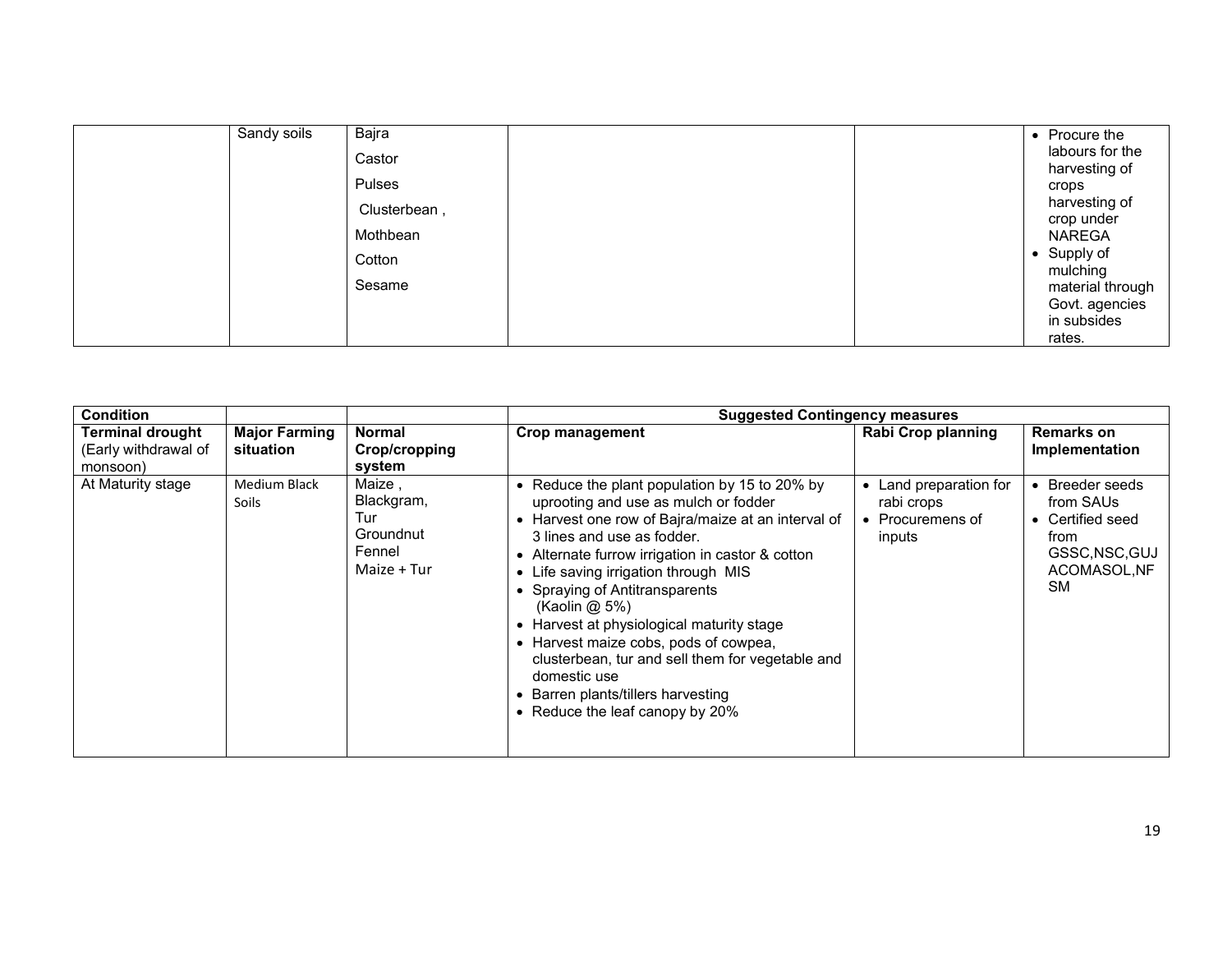| Sandy soils | Bajra        |  | • Procure the                    |
|-------------|--------------|--|----------------------------------|
|             | Castor       |  | labours for the<br>harvesting of |
|             | Pulses       |  | crops                            |
|             | Clusterbean, |  | harvesting of<br>crop under      |
|             | Mothbean     |  | NAREGA                           |
|             | Cotton       |  | • Supply of<br>mulching          |
|             | Sesame       |  | material through                 |
|             |              |  | Govt. agencies                   |
|             |              |  | in subsides<br>rates.            |

| <b>Condition</b>                                                                                 |                                                                   | <b>Suggested Contingency measures</b>                                                                                                                                                                                                                                                                                                                                                                                                                                                                                                                     |                                                                  |                                                                                                              |  |  |
|--------------------------------------------------------------------------------------------------|-------------------------------------------------------------------|-----------------------------------------------------------------------------------------------------------------------------------------------------------------------------------------------------------------------------------------------------------------------------------------------------------------------------------------------------------------------------------------------------------------------------------------------------------------------------------------------------------------------------------------------------------|------------------------------------------------------------------|--------------------------------------------------------------------------------------------------------------|--|--|
| <b>Terminal drought</b><br><b>Major Farming</b><br>(Early withdrawal of<br>situation<br>monsoon) | Normal<br>Crop/cropping<br>system                                 | Crop management                                                                                                                                                                                                                                                                                                                                                                                                                                                                                                                                           | <b>Rabi Crop planning</b>                                        | <b>Remarks on</b><br>Implementation                                                                          |  |  |
| At Maturity stage<br>Medium Black<br><b>Soils</b>                                                | Maize,<br>Blackgram,<br>Tur<br>Groundnut<br>Fennel<br>Maize + Tur | • Reduce the plant population by 15 to 20% by<br>uprooting and use as mulch or fodder<br>• Harvest one row of Bajra/maize at an interval of<br>3 lines and use as fodder.<br>• Alternate furrow irrigation in castor & cotton<br>• Life saving irrigation through MIS<br>• Spraying of Antitransparents<br>(Kaolin@5%)<br>• Harvest at physiological maturity stage<br>• Harvest maize cobs, pods of cowpea,<br>clusterbean, tur and sell them for vegetable and<br>domestic use<br>• Barren plants/tillers harvesting<br>• Reduce the leaf canopy by 20% | Land preparation for<br>rabi crops<br>• Procuremens of<br>inputs | <b>Breeder seeds</b><br>from SAUs<br>• Certified seed<br>from<br>GSSC, NSC, GUJ<br>ACOMASOL, NF<br><b>SM</b> |  |  |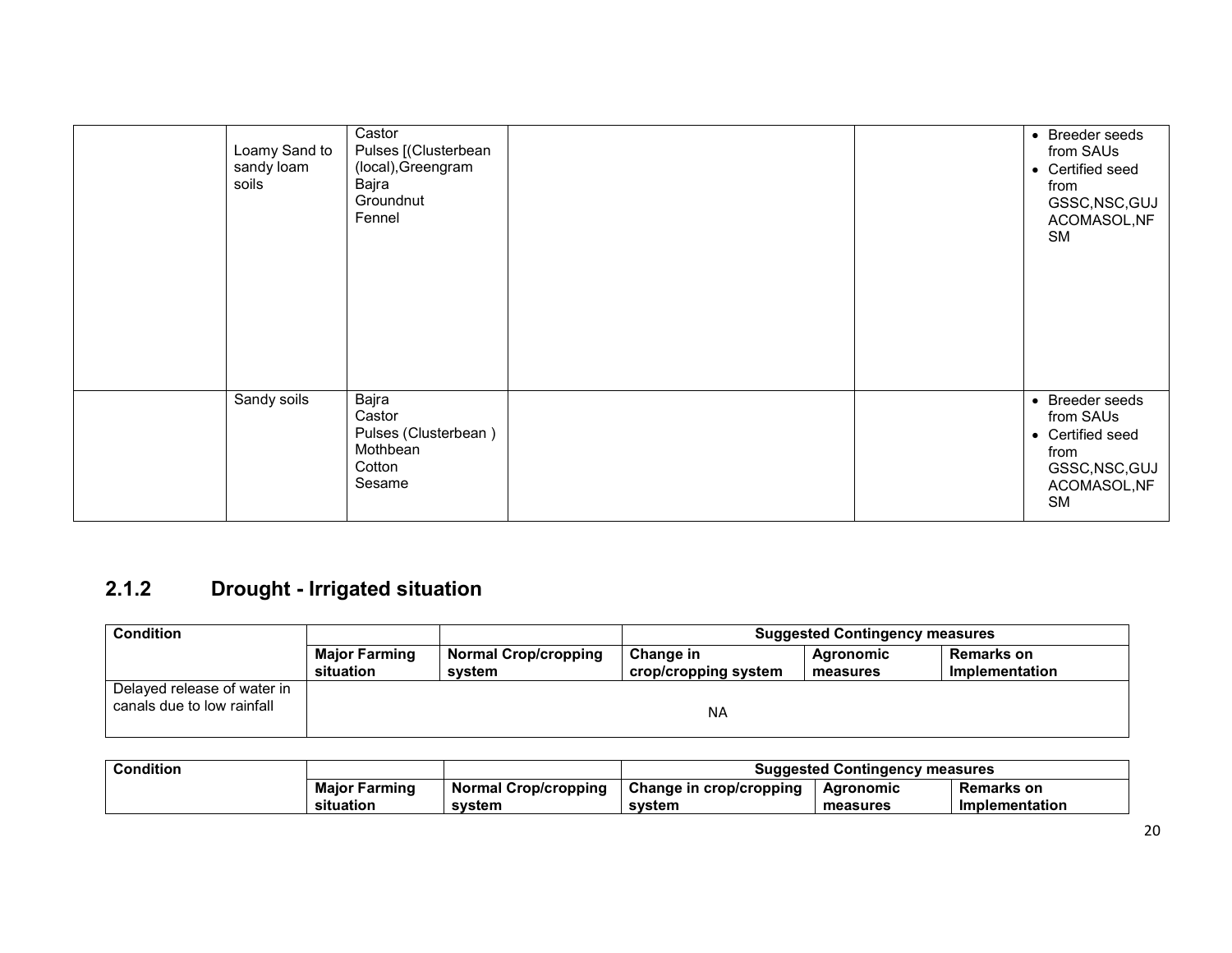| Loamy Sand to<br>sandy loam<br>soils | Castor<br>Pulses [(Clusterbean<br>(local), Greengram<br>Bajra<br>Groundnut<br>Fennel |  | • Breeder seeds<br>from SAUs<br>• Certified seed<br>from<br>GSSC, NSC, GUJ<br>ACOMASOL, NF<br><b>SM</b> |
|--------------------------------------|--------------------------------------------------------------------------------------|--|---------------------------------------------------------------------------------------------------------|
| Sandy soils                          | Bajra<br>Castor<br>Pulses (Clusterbean)<br>Mothbean<br>Cotton<br>Sesame              |  | • Breeder seeds<br>from SAUs<br>• Certified seed<br>from<br>GSSC, NSC, GUJ<br>ACOMASOL, NF<br><b>SM</b> |

# 2.1.2 Drought - Irrigated situation

| <b>Condition</b>                                          |                      |                             | <b>Suggested Contingency measures</b> |           |                   |
|-----------------------------------------------------------|----------------------|-----------------------------|---------------------------------------|-----------|-------------------|
|                                                           | <b>Major Farming</b> | <b>Normal Crop/cropping</b> | Change in                             | Agronomic | <b>Remarks on</b> |
|                                                           | situation            | svstem                      | crop/cropping system                  | measures  | Implementation    |
| Delayed release of water in<br>canals due to low rainfall |                      |                             | <b>NA</b>                             |           |                   |

| <b>Condition</b> |                      |                             | <b>Suggested Contingency measures</b> |           |                   |  |
|------------------|----------------------|-----------------------------|---------------------------------------|-----------|-------------------|--|
|                  | <b>Major Farming</b> | <b>Normal Crop/cropping</b> | Change in crop/cropping               | Agronomic | <b>Remarks on</b> |  |
|                  | situation            | svstem                      | svstem                                | measures  | Implementation    |  |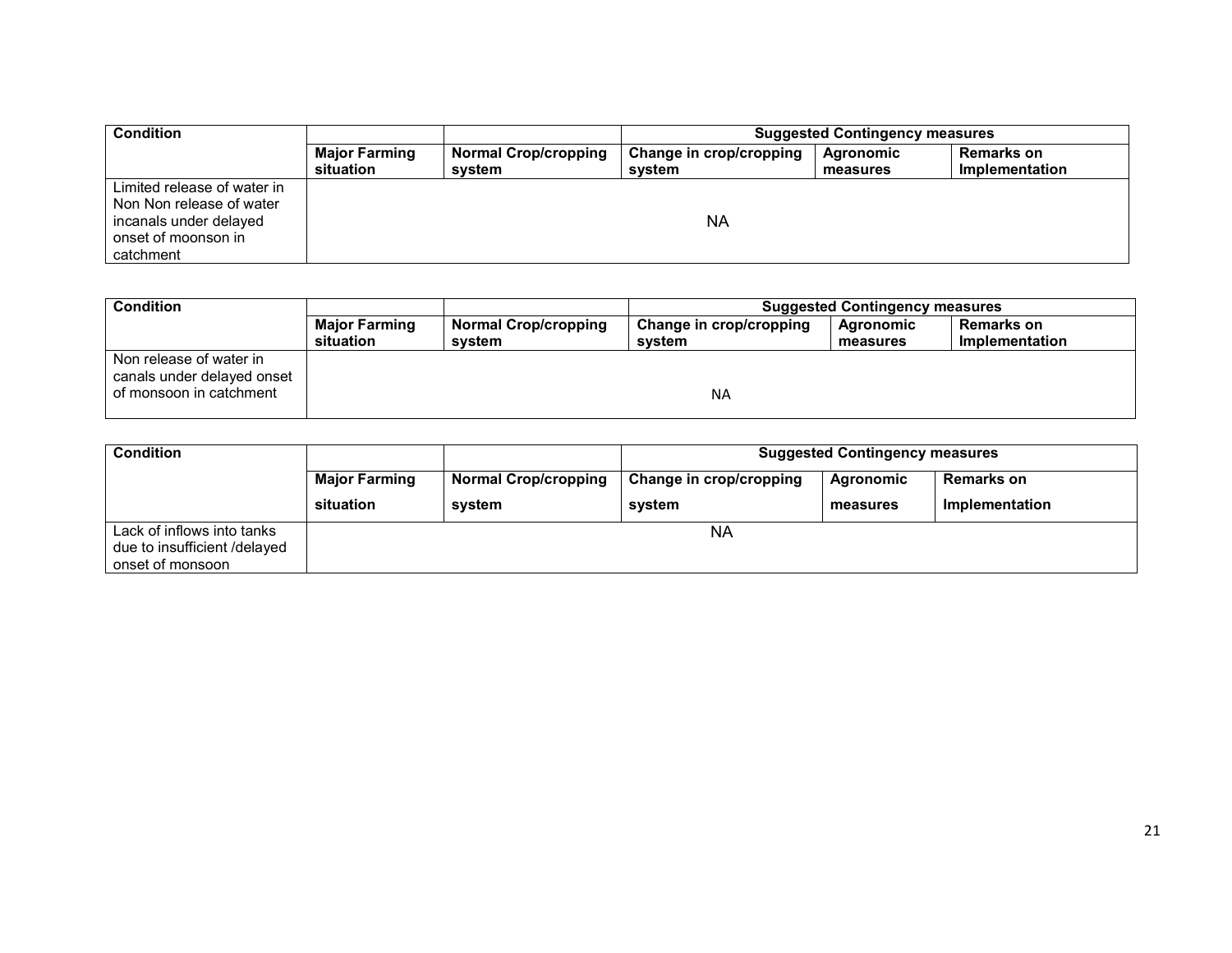| <b>Condition</b>                                                                                                      |                                   |                                       | <b>Suggested Contingency measures</b> |                       |                                     |  |
|-----------------------------------------------------------------------------------------------------------------------|-----------------------------------|---------------------------------------|---------------------------------------|-----------------------|-------------------------------------|--|
|                                                                                                                       | <b>Major Farming</b><br>situation | <b>Normal Crop/cropping</b><br>system | Change in crop/cropping<br>system     | Agronomic<br>measures | <b>Remarks on</b><br>Implementation |  |
| Limited release of water in<br>Non Non release of water<br>incanals under delayed<br>onset of moonson in<br>catchment |                                   |                                       | <b>NA</b>                             |                       |                                     |  |

| <b>Condition</b>                                                                 | <b>Suggested Contingency measures</b> |                             |                         |           |                   |
|----------------------------------------------------------------------------------|---------------------------------------|-----------------------------|-------------------------|-----------|-------------------|
|                                                                                  | <b>Major Farming</b>                  | <b>Normal Crop/cropping</b> | Change in crop/cropping | Agronomic | <b>Remarks on</b> |
|                                                                                  | situation                             | svstem                      | svstem                  | measures  | Implementation    |
| Non release of water in<br>canals under delayed onset<br>of monsoon in catchment |                                       |                             | <b>NA</b>               |           |                   |

| <b>Condition</b>                                                               |                      |                             | <b>Suggested Contingency measures</b> |           |                   |
|--------------------------------------------------------------------------------|----------------------|-----------------------------|---------------------------------------|-----------|-------------------|
|                                                                                | <b>Major Farming</b> | <b>Normal Crop/cropping</b> | Change in crop/cropping               | Agronomic | <b>Remarks on</b> |
|                                                                                | situation            | svstem                      | system                                | measures  | Implementation    |
| Lack of inflows into tanks<br>due to insufficient /delayed<br>onset of monsoon |                      |                             | <b>NA</b>                             |           |                   |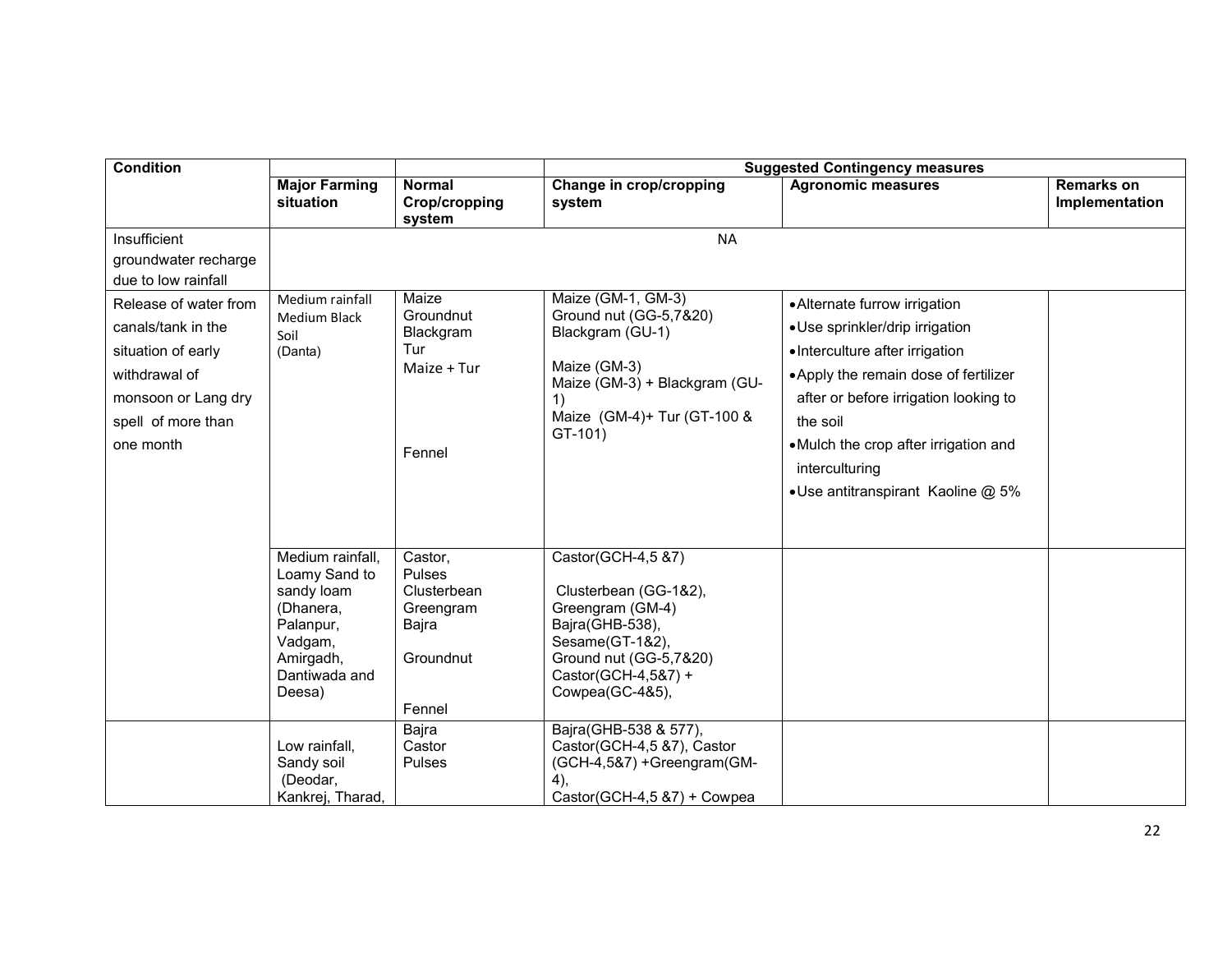| <b>Condition</b>                                                                                                                             |                                                                                                                                                                                             | <b>Suggested Contingency measures</b>                                                                             |                                                                                                                                                                                                                                                                                                      |                                                                                                                                                                                                                                                                                                    |                                     |  |  |
|----------------------------------------------------------------------------------------------------------------------------------------------|---------------------------------------------------------------------------------------------------------------------------------------------------------------------------------------------|-------------------------------------------------------------------------------------------------------------------|------------------------------------------------------------------------------------------------------------------------------------------------------------------------------------------------------------------------------------------------------------------------------------------------------|----------------------------------------------------------------------------------------------------------------------------------------------------------------------------------------------------------------------------------------------------------------------------------------------------|-------------------------------------|--|--|
|                                                                                                                                              | <b>Major Farming</b><br>situation                                                                                                                                                           | <b>Normal</b><br><b>Crop/cropping</b><br>system                                                                   | Change in crop/cropping<br>system                                                                                                                                                                                                                                                                    | <b>Agronomic measures</b>                                                                                                                                                                                                                                                                          | <b>Remarks on</b><br>Implementation |  |  |
| Insufficient<br>groundwater recharge<br>due to low rainfall                                                                                  |                                                                                                                                                                                             |                                                                                                                   | <b>NA</b>                                                                                                                                                                                                                                                                                            |                                                                                                                                                                                                                                                                                                    |                                     |  |  |
| Release of water from<br>canals/tank in the<br>situation of early<br>withdrawal of<br>monsoon or Lang dry<br>spell of more than<br>one month | Medium rainfall<br><b>Medium Black</b><br>Soil<br>(Danta)                                                                                                                                   | Maize<br>Groundnut<br>Blackgram<br>Tur<br>Maize + Tur<br>Fennel                                                   | Maize (GM-1, GM-3)<br>Ground nut (GG-5,7&20)<br>Blackgram (GU-1)<br>Maize (GM-3)<br>Maize (GM-3) + Blackgram (GU-<br>1)<br>Maize (GM-4)+ Tur (GT-100 &<br>GT-101)                                                                                                                                    | • Alternate furrow irrigation<br>• Use sprinkler/drip irrigation<br>• Interculture after irrigation<br>• Apply the remain dose of fertilizer<br>after or before irrigation looking to<br>the soil<br>• Mulch the crop after irrigation and<br>interculturing<br>• Use antitranspirant Kaoline @ 5% |                                     |  |  |
|                                                                                                                                              | Medium rainfall,<br>Loamy Sand to<br>sandy loam<br>(Dhanera,<br>Palanpur,<br>Vadgam,<br>Amirgadh,<br>Dantiwada and<br>Deesa)<br>Low rainfall,<br>Sandy soil<br>(Deodar,<br>Kankrej, Tharad, | Castor,<br>Pulses<br>Clusterbean<br>Greengram<br>Bajra<br>Groundnut<br>Fennel<br>Bajra<br>Castor<br><b>Pulses</b> | Castor(GCH-4,5 &7)<br>Clusterbean (GG-1&2),<br>Greengram (GM-4)<br>Bajra(GHB-538),<br>Sesame(GT-1&2),<br>Ground nut (GG-5,7&20)<br>Castor(GCH-4,5&7) +<br>Cowpea(GC-4&5),<br>Bajra(GHB-538 & 577),<br>Castor(GCH-4,5 &7), Castor<br>(GCH-4,5&7) +Greengram(GM-<br>4),<br>Castor(GCH-4,5 &7) + Cowpea |                                                                                                                                                                                                                                                                                                    |                                     |  |  |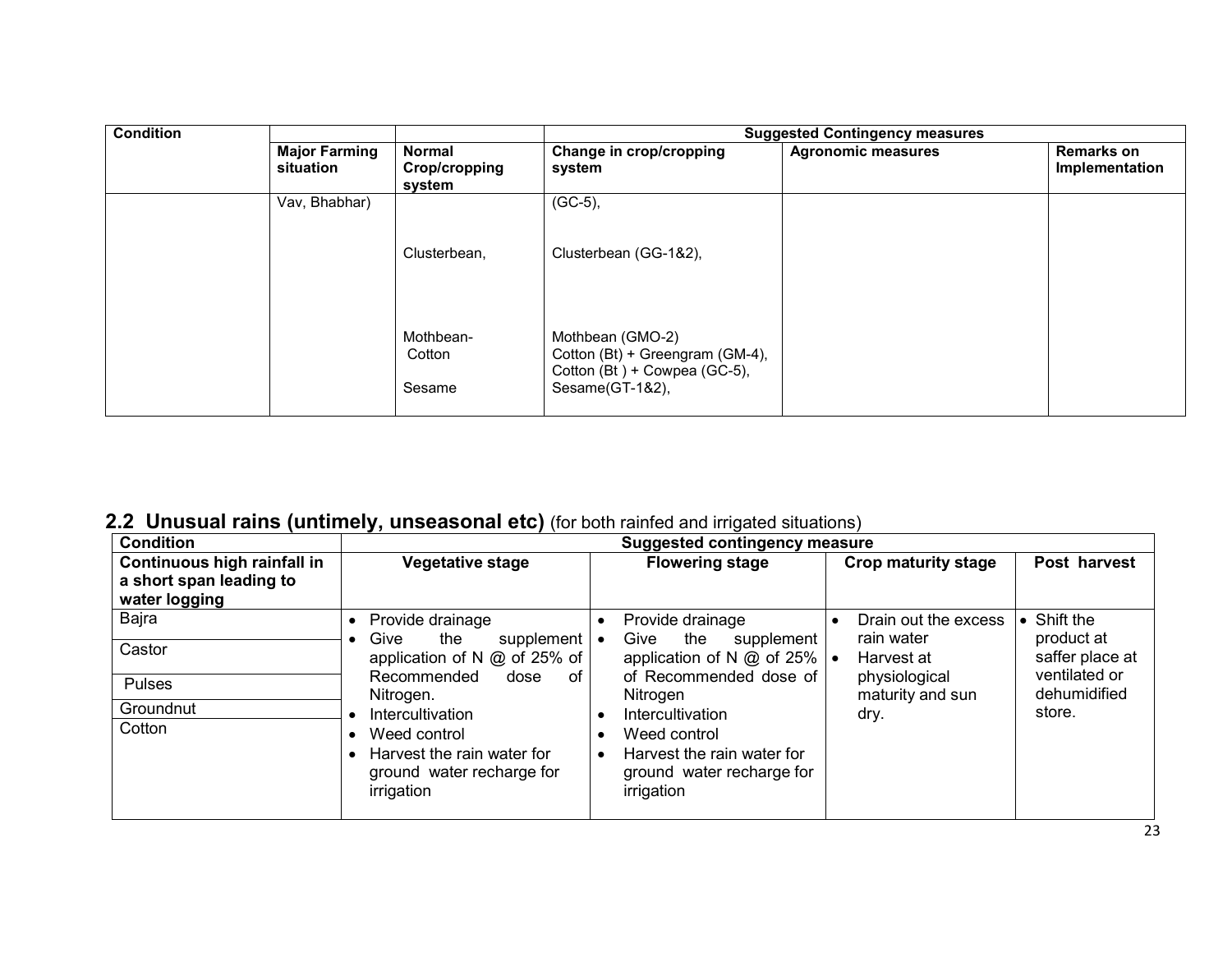| <b>Condition</b> |                                   |                                          | <b>Suggested Contingency measures</b>                                               |                           |                                     |
|------------------|-----------------------------------|------------------------------------------|-------------------------------------------------------------------------------------|---------------------------|-------------------------------------|
|                  | <b>Major Farming</b><br>situation | <b>Normal</b><br>Crop/cropping<br>system | Change in crop/cropping<br>system                                                   | <b>Agronomic measures</b> | <b>Remarks on</b><br>Implementation |
|                  | Vav, Bhabhar)                     |                                          | $(GC-5)$ ,                                                                          |                           |                                     |
|                  |                                   | Clusterbean,                             | Clusterbean (GG-1&2),                                                               |                           |                                     |
|                  |                                   | Mothbean-<br>Cotton                      | Mothbean (GMO-2)<br>Cotton (Bt) + Greengram (GM-4),<br>Cotton (Bt) + Cowpea (GC-5), |                           |                                     |
|                  |                                   | Sesame                                   | Sesame(GT-1&2),                                                                     |                           |                                     |

## 2.2 Unusual rains (untimely, unseasonal etc) (for both rainfed and irrigated situations)

| <b>Condition</b>                                                        | <b>Suggested contingency measure</b>                                                                            |                                                                                                                 |                                    |                                  |  |
|-------------------------------------------------------------------------|-----------------------------------------------------------------------------------------------------------------|-----------------------------------------------------------------------------------------------------------------|------------------------------------|----------------------------------|--|
| Continuous high rainfall in<br>a short span leading to<br>water logging | Vegetative stage                                                                                                | <b>Flowering stage</b>                                                                                          | <b>Crop maturity stage</b>         | Post harvest                     |  |
| Bajra                                                                   | Provide drainage<br>$\bullet$<br>Give                                                                           | Provide drainage                                                                                                | Drain out the excess<br>rain water | Shift the<br>product at          |  |
| Castor                                                                  | the<br>supplement<br>application of N @ of 25% of                                                               | Give<br>the<br>supplement<br>$\bullet$<br>application of N @ of 25%<br>of Recommended dose of                   | Harvest at                         | saffer place at<br>ventilated or |  |
| <b>Pulses</b>                                                           | 0f<br>Recommended<br>dose<br>Nitrogen.                                                                          | Nitrogen                                                                                                        | physiological<br>maturity and sun  | dehumidified                     |  |
| Groundnut                                                               | Intercultivation                                                                                                | Intercultivation                                                                                                | dry.                               | store.                           |  |
| Cotton                                                                  | Weed control<br>$\bullet$<br>Harvest the rain water for<br>$\bullet$<br>ground water recharge for<br>irrigation | Weed control<br>$\bullet$<br>Harvest the rain water for<br>$\bullet$<br>ground water recharge for<br>irrigation |                                    |                                  |  |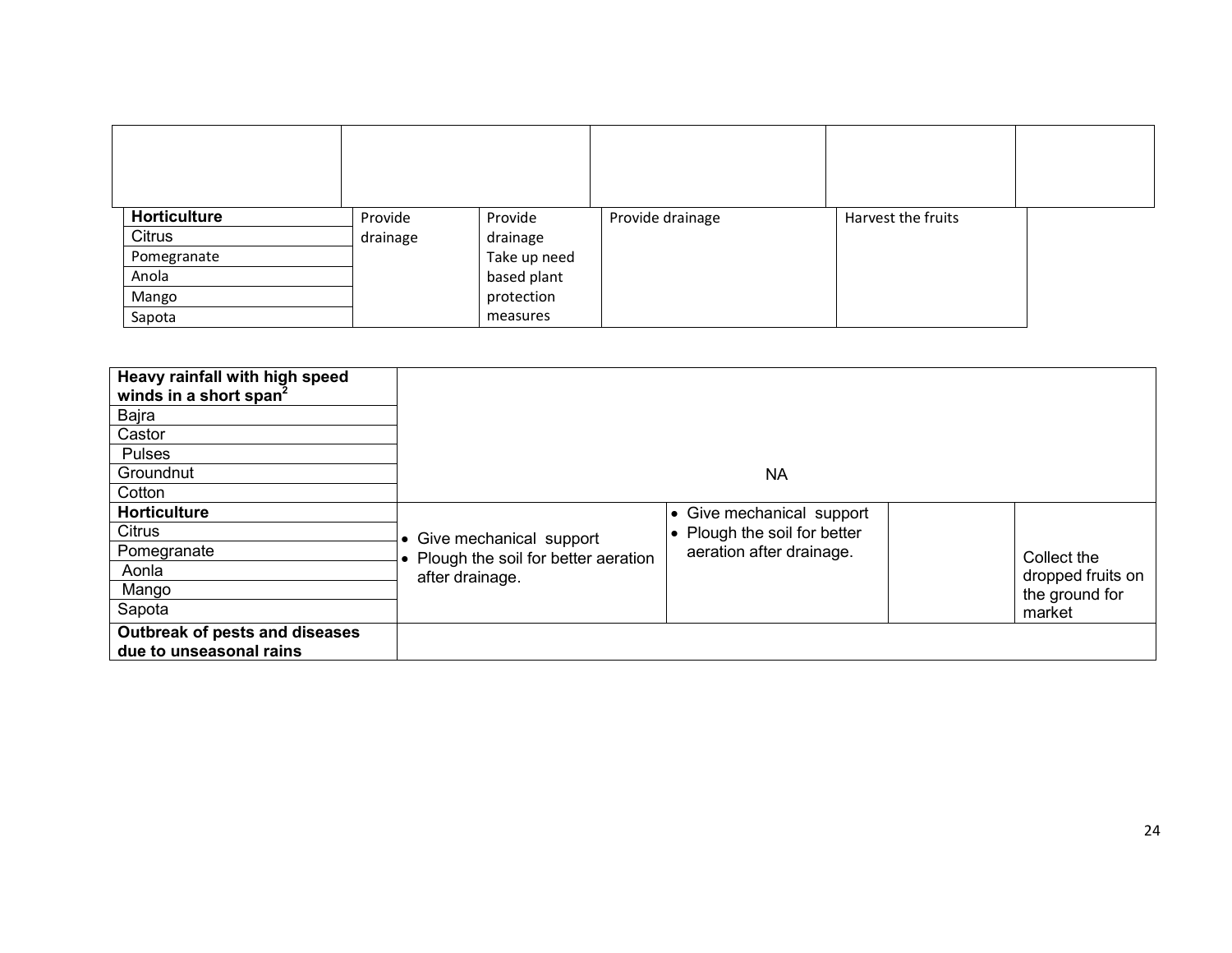| Horticulture | Provide  | Provide      | Provide drainage | Harvest the fruits |  |
|--------------|----------|--------------|------------------|--------------------|--|
| Citrus       | drainage | drainage     |                  |                    |  |
| Pomegranate  |          | Take up need |                  |                    |  |
| Anola        |          | based plant  |                  |                    |  |
| Mango        |          | protection   |                  |                    |  |
| Sapota       |          | measures     |                  |                    |  |

| Heavy rainfall with high speed<br>winds in a short span <sup>2</sup><br>Bajra<br>Castor<br>Pulses |                                       |                              |                   |  |  |
|---------------------------------------------------------------------------------------------------|---------------------------------------|------------------------------|-------------------|--|--|
| Groundnut                                                                                         | <b>NA</b>                             |                              |                   |  |  |
| Cotton                                                                                            |                                       |                              |                   |  |  |
| <b>Horticulture</b>                                                                               |                                       | • Give mechanical support    |                   |  |  |
| Citrus                                                                                            | • Give mechanical support             | • Plough the soil for better |                   |  |  |
| Pomegranate                                                                                       | • Plough the soil for better aeration | aeration after drainage.     | Collect the       |  |  |
| Aonla                                                                                             | after drainage.                       |                              | dropped fruits on |  |  |
| Mango                                                                                             |                                       |                              | the ground for    |  |  |
| Sapota                                                                                            |                                       |                              | market            |  |  |
| Outbreak of pests and diseases<br>due to unseasonal rains                                         |                                       |                              |                   |  |  |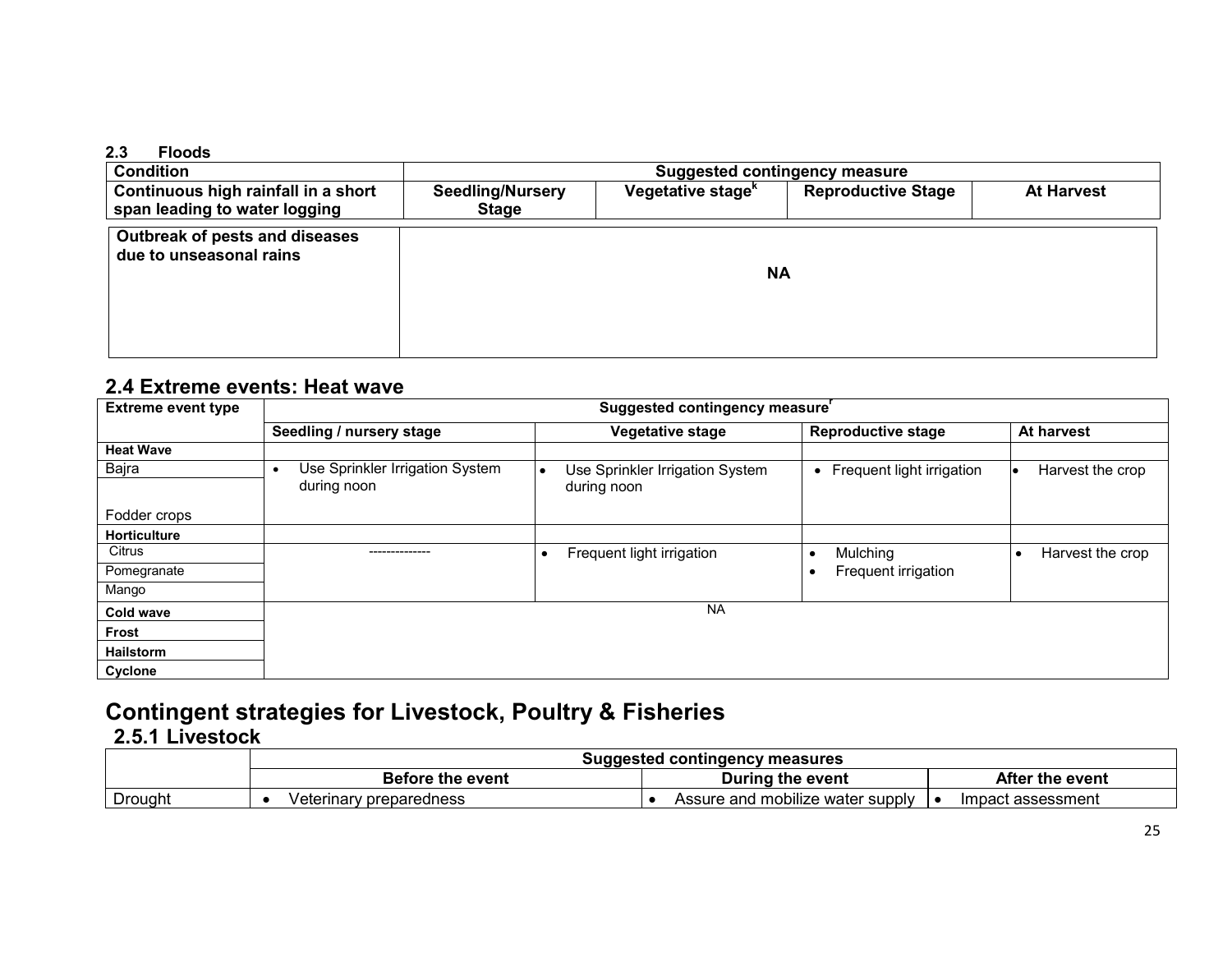#### 2.3 Floods

| <b>Condition</b>                                                     | <b>Suggested contingency measure</b>    |                               |                           |                   |  |
|----------------------------------------------------------------------|-----------------------------------------|-------------------------------|---------------------------|-------------------|--|
| Continuous high rainfall in a short<br>span leading to water logging | <b>Seedling/Nursery</b><br><b>Stage</b> | Vegetative stage <sup>k</sup> | <b>Reproductive Stage</b> | <b>At Harvest</b> |  |
| Outbreak of pests and diseases<br>due to unseasonal rains            |                                         | <b>NA</b>                     |                           |                   |  |

## 2.4 Extreme events: Heat wave

| <b>Extreme event type</b> | Suggested contingency measure'                              |                                                             |                             |                  |  |  |
|---------------------------|-------------------------------------------------------------|-------------------------------------------------------------|-----------------------------|------------------|--|--|
|                           | Seedling / nursery stage                                    | <b>Vegetative stage</b>                                     | <b>Reproductive stage</b>   | At harvest       |  |  |
| <b>Heat Wave</b>          |                                                             |                                                             |                             |                  |  |  |
| Bajra                     | Use Sprinkler Irrigation System<br>$\bullet$<br>during noon | Use Sprinkler Irrigation System<br>$\bullet$<br>during noon | • Frequent light irrigation | Harvest the crop |  |  |
| Fodder crops              |                                                             |                                                             |                             |                  |  |  |
| <b>Horticulture</b>       |                                                             |                                                             |                             |                  |  |  |
| Citrus                    |                                                             | Frequent light irrigation                                   | Mulching                    | Harvest the crop |  |  |
| Pomegranate               |                                                             |                                                             | Frequent irrigation         |                  |  |  |
| Mango                     |                                                             |                                                             |                             |                  |  |  |
| <b>Cold wave</b>          |                                                             | <b>NA</b>                                                   |                             |                  |  |  |
| Frost                     |                                                             |                                                             |                             |                  |  |  |
| <b>Hailstorm</b>          |                                                             |                                                             |                             |                  |  |  |
| Cyclone                   |                                                             |                                                             |                             |                  |  |  |

# Contingent strategies for Livestock, Poultry & Fisheries

# 2.5.1 Livestock

|                |                         | Suggested contingency measures   |                   |  |  |
|----------------|-------------------------|----------------------------------|-------------------|--|--|
|                | <b>Before the event</b> | During the event                 | After the event   |  |  |
| <b>Drought</b> | Veterinary preparedness | Assure and mobilize water supply | Impact assessment |  |  |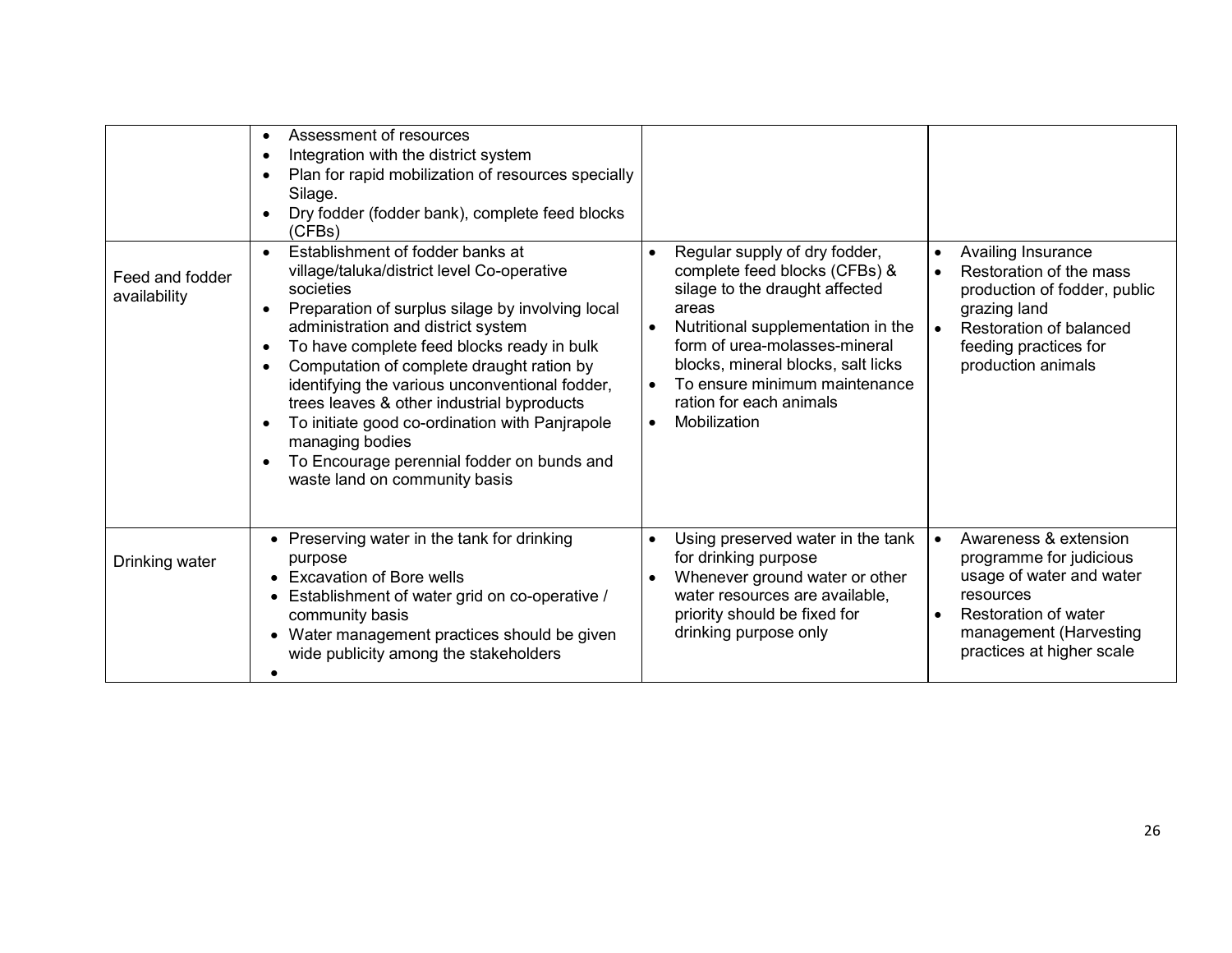|                                 | Assessment of resources<br>Integration with the district system<br>$\bullet$<br>Plan for rapid mobilization of resources specially<br>Silage.<br>Dry fodder (fodder bank), complete feed blocks<br>(CFBs)                                                                                                                                                                                                                                                                                                                                         |                                                                                                                                                                                                                                                                                                                                                        |                                                                                                                                                                                                                |
|---------------------------------|---------------------------------------------------------------------------------------------------------------------------------------------------------------------------------------------------------------------------------------------------------------------------------------------------------------------------------------------------------------------------------------------------------------------------------------------------------------------------------------------------------------------------------------------------|--------------------------------------------------------------------------------------------------------------------------------------------------------------------------------------------------------------------------------------------------------------------------------------------------------------------------------------------------------|----------------------------------------------------------------------------------------------------------------------------------------------------------------------------------------------------------------|
| Feed and fodder<br>availability | Establishment of fodder banks at<br>$\bullet$<br>village/taluka/district level Co-operative<br>societies<br>Preparation of surplus silage by involving local<br>administration and district system<br>To have complete feed blocks ready in bulk<br>Computation of complete draught ration by<br>identifying the various unconventional fodder,<br>trees leaves & other industrial byproducts<br>To initiate good co-ordination with Panjrapole<br>managing bodies<br>To Encourage perennial fodder on bunds and<br>waste land on community basis | Regular supply of dry fodder,<br>$\bullet$<br>complete feed blocks (CFBs) &<br>silage to the draught affected<br>areas<br>Nutritional supplementation in the<br>$\bullet$<br>form of urea-molasses-mineral<br>blocks, mineral blocks, salt licks<br>To ensure minimum maintenance<br>$\bullet$<br>ration for each animals<br>Mobilization<br>$\bullet$ | Availing Insurance<br>$\bullet$<br>Restoration of the mass<br>$\bullet$<br>production of fodder, public<br>grazing land<br>Restoration of balanced<br>$\bullet$<br>feeding practices for<br>production animals |
| Drinking water                  | Preserving water in the tank for drinking<br>purpose<br>• Excavation of Bore wells<br>Establishment of water grid on co-operative /<br>community basis<br>Water management practices should be given<br>wide publicity among the stakeholders                                                                                                                                                                                                                                                                                                     | Using preserved water in the tank<br>$\bullet$<br>for drinking purpose<br>Whenever ground water or other<br>$\bullet$<br>water resources are available,<br>priority should be fixed for<br>drinking purpose only                                                                                                                                       | Awareness & extension<br>$\bullet$<br>programme for judicious<br>usage of water and water<br>resources<br>Restoration of water<br>$\bullet$<br>management (Harvesting<br>practices at higher scale             |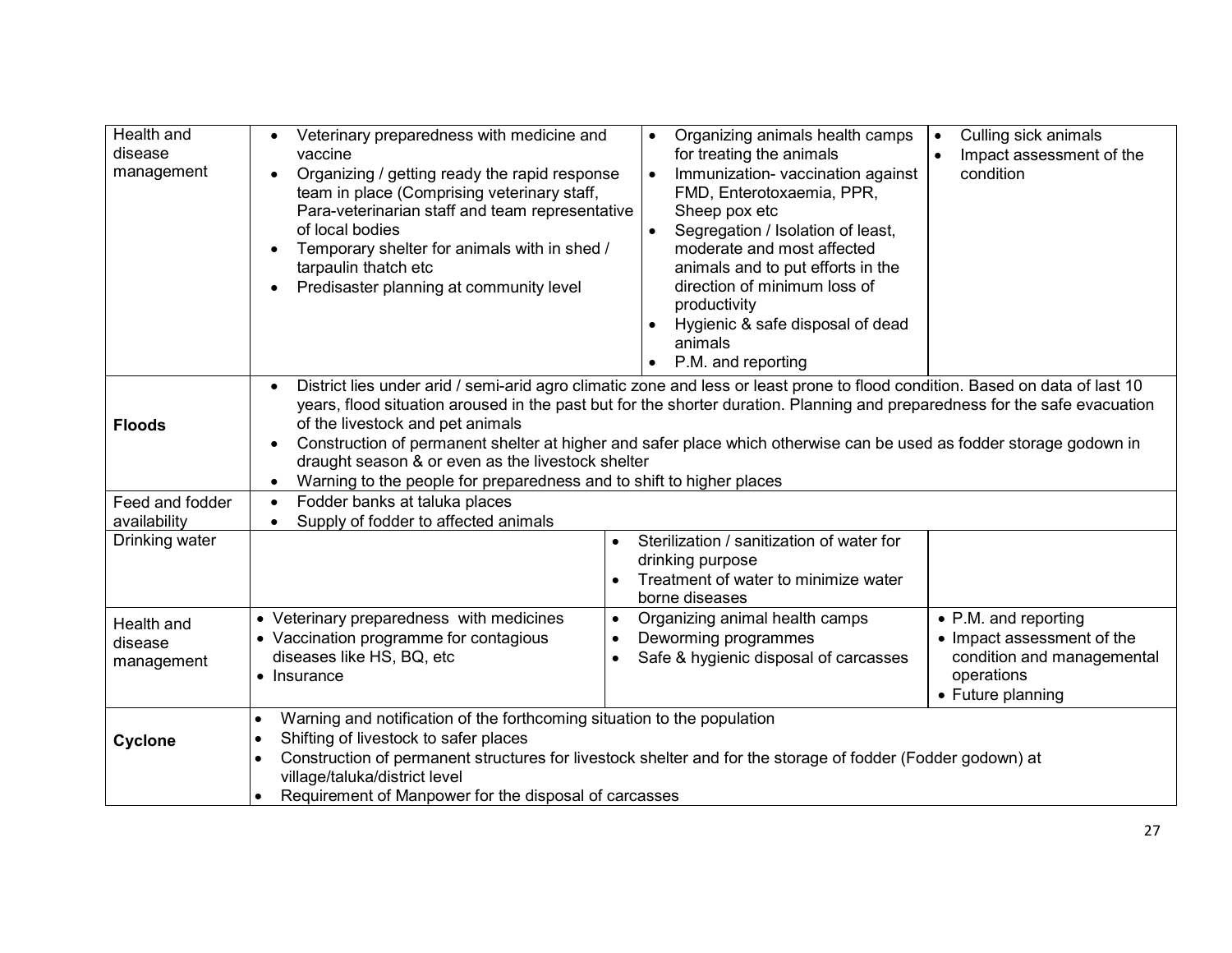| Health and<br>disease<br>management | Veterinary preparedness with medicine and<br>vaccine<br>Organizing / getting ready the rapid response<br>team in place (Comprising veterinary staff,<br>Para-veterinarian staff and team representative<br>of local bodies<br>Temporary shelter for animals with in shed /<br>tarpaulin thatch etc<br>Predisaster planning at community level                                                                                                                                                                                                      | Organizing animals health camps<br>$\bullet$<br>for treating the animals<br>Immunization- vaccination against<br>$\bullet$<br>FMD, Enterotoxaemia, PPR,<br>Sheep pox etc<br>$\bullet$<br>Segregation / Isolation of least,<br>moderate and most affected<br>animals and to put efforts in the<br>direction of minimum loss of<br>productivity<br>Hygienic & safe disposal of dead<br>animals<br>P.M. and reporting | Culling sick animals<br>$\bullet$<br>Impact assessment of the<br>$\bullet$<br>condition                             |  |  |
|-------------------------------------|----------------------------------------------------------------------------------------------------------------------------------------------------------------------------------------------------------------------------------------------------------------------------------------------------------------------------------------------------------------------------------------------------------------------------------------------------------------------------------------------------------------------------------------------------|--------------------------------------------------------------------------------------------------------------------------------------------------------------------------------------------------------------------------------------------------------------------------------------------------------------------------------------------------------------------------------------------------------------------|---------------------------------------------------------------------------------------------------------------------|--|--|
| <b>Floods</b>                       | District lies under arid / semi-arid agro climatic zone and less or least prone to flood condition. Based on data of last 10<br>years, flood situation aroused in the past but for the shorter duration. Planning and preparedness for the safe evacuation<br>of the livestock and pet animals<br>Construction of permanent shelter at higher and safer place which otherwise can be used as fodder storage godown in<br>draught season & or even as the livestock shelter<br>Warning to the people for preparedness and to shift to higher places |                                                                                                                                                                                                                                                                                                                                                                                                                    |                                                                                                                     |  |  |
| Feed and fodder<br>availability     | Fodder banks at taluka places<br>Supply of fodder to affected animals                                                                                                                                                                                                                                                                                                                                                                                                                                                                              |                                                                                                                                                                                                                                                                                                                                                                                                                    |                                                                                                                     |  |  |
| Drinking water                      | $\bullet$                                                                                                                                                                                                                                                                                                                                                                                                                                                                                                                                          | Sterilization / sanitization of water for<br>drinking purpose<br>Treatment of water to minimize water<br>borne diseases                                                                                                                                                                                                                                                                                            |                                                                                                                     |  |  |
| Health and<br>disease<br>management | • Veterinary preparedness with medicines<br>$\bullet$<br>• Vaccination programme for contagious<br>$\bullet$<br>diseases like HS, BQ, etc<br>$\bullet$<br>• Insurance                                                                                                                                                                                                                                                                                                                                                                              | Organizing animal health camps<br>Deworming programmes<br>Safe & hygienic disposal of carcasses                                                                                                                                                                                                                                                                                                                    | • P.M. and reporting<br>• Impact assessment of the<br>condition and managemental<br>operations<br>• Future planning |  |  |
| <b>Cyclone</b>                      | Warning and notification of the forthcoming situation to the population<br>$\bullet$<br>Shifting of livestock to safer places<br>٠<br>Construction of permanent structures for livestock shelter and for the storage of fodder (Fodder godown) at<br>٠<br>village/taluka/district level<br>Requirement of Manpower for the disposal of carcasses<br>$\bullet$                                                                                                                                                                                      |                                                                                                                                                                                                                                                                                                                                                                                                                    |                                                                                                                     |  |  |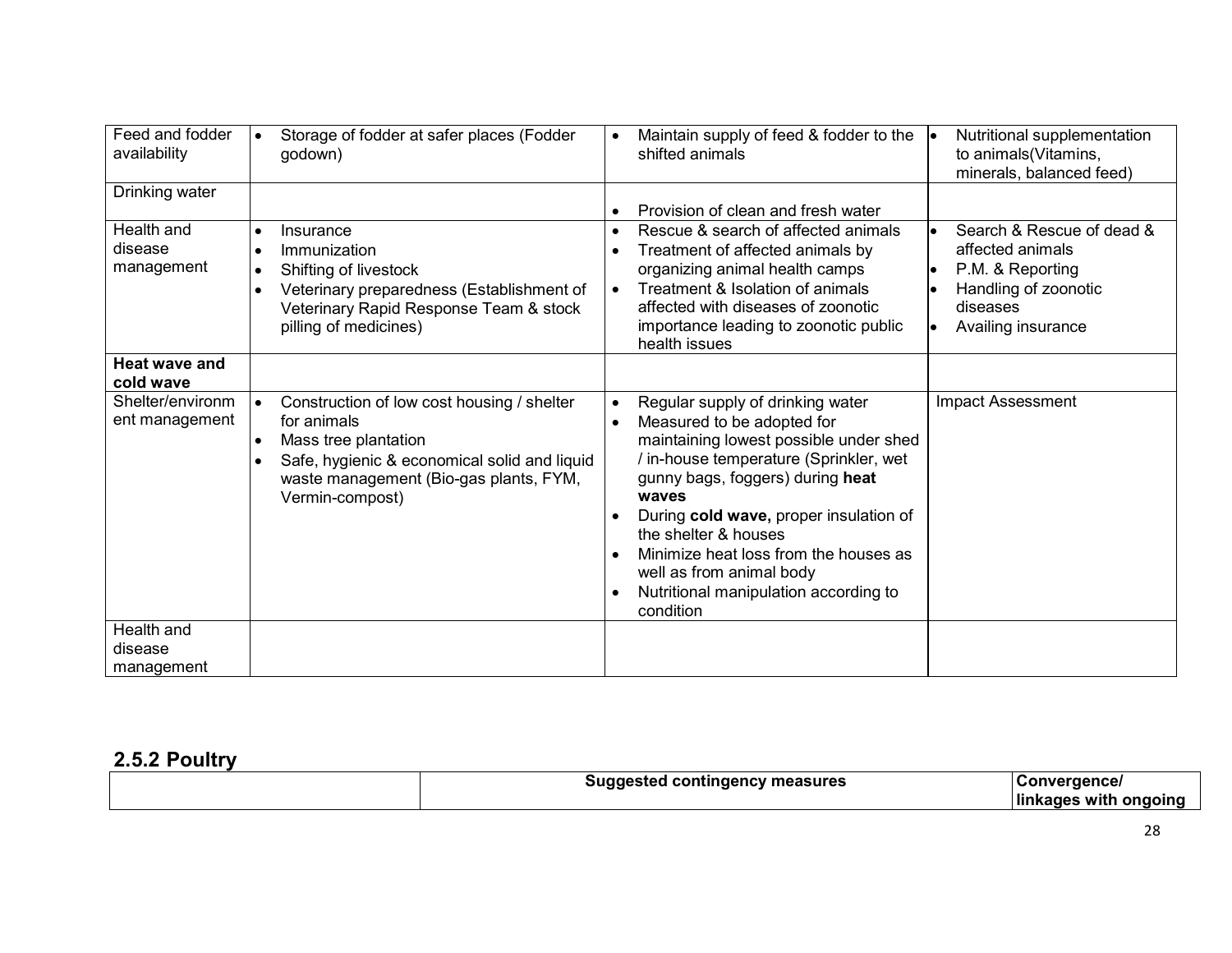| Feed and fodder<br>availability     |           | Storage of fodder at safer places (Fodder<br>godown)                                                                                                                                           |                                                  | Maintain supply of feed & fodder to the<br>shifted animals                                                                                                                                                                                                                                                                                                                                   | Nutritional supplementation<br>to animals(Vitamins,<br>minerals, balanced feed)                                             |
|-------------------------------------|-----------|------------------------------------------------------------------------------------------------------------------------------------------------------------------------------------------------|--------------------------------------------------|----------------------------------------------------------------------------------------------------------------------------------------------------------------------------------------------------------------------------------------------------------------------------------------------------------------------------------------------------------------------------------------------|-----------------------------------------------------------------------------------------------------------------------------|
| Drinking water                      |           |                                                                                                                                                                                                | $\bullet$                                        | Provision of clean and fresh water                                                                                                                                                                                                                                                                                                                                                           |                                                                                                                             |
| Health and<br>disease<br>management | $\bullet$ | Insurance<br>Immunization<br>Shifting of livestock<br>Veterinary preparedness (Establishment of<br>Veterinary Rapid Response Team & stock<br>pilling of medicines)                             | $\bullet$<br>$\bullet$<br>$\bullet$              | Rescue & search of affected animals<br>Treatment of affected animals by<br>organizing animal health camps<br>Treatment & Isolation of animals<br>affected with diseases of zoonotic<br>importance leading to zoonotic public<br>health issues                                                                                                                                                | Search & Rescue of dead &<br>affected animals<br>P.M. & Reporting<br>Handling of zoonotic<br>diseases<br>Availing insurance |
| <b>Heat wave and</b><br>cold wave   |           |                                                                                                                                                                                                |                                                  |                                                                                                                                                                                                                                                                                                                                                                                              |                                                                                                                             |
| Shelter/environm<br>ent management  |           | Construction of low cost housing / shelter<br>for animals<br>Mass tree plantation<br>Safe, hygienic & economical solid and liquid<br>waste management (Bio-gas plants, FYM,<br>Vermin-compost) | $\bullet$<br>$\bullet$<br>$\bullet$<br>$\bullet$ | Regular supply of drinking water<br>Measured to be adopted for<br>maintaining lowest possible under shed<br>/ in-house temperature (Sprinkler, wet<br>gunny bags, foggers) during heat<br>waves<br>During cold wave, proper insulation of<br>the shelter & houses<br>Minimize heat loss from the houses as<br>well as from animal body<br>Nutritional manipulation according to<br>condition | Impact Assessment                                                                                                           |
| Health and<br>disease               |           |                                                                                                                                                                                                |                                                  |                                                                                                                                                                                                                                                                                                                                                                                              |                                                                                                                             |
| management                          |           |                                                                                                                                                                                                |                                                  |                                                                                                                                                                                                                                                                                                                                                                                              |                                                                                                                             |

# 2.5.2 Poultry

| nesteo<br>continue<br>measures<br>эu<br><br>-<br>. . | $\cdots$<br>uence                    |
|------------------------------------------------------|--------------------------------------|
|                                                      | .<br>link<br>WIT.<br>2AN'<br>nn,<br> |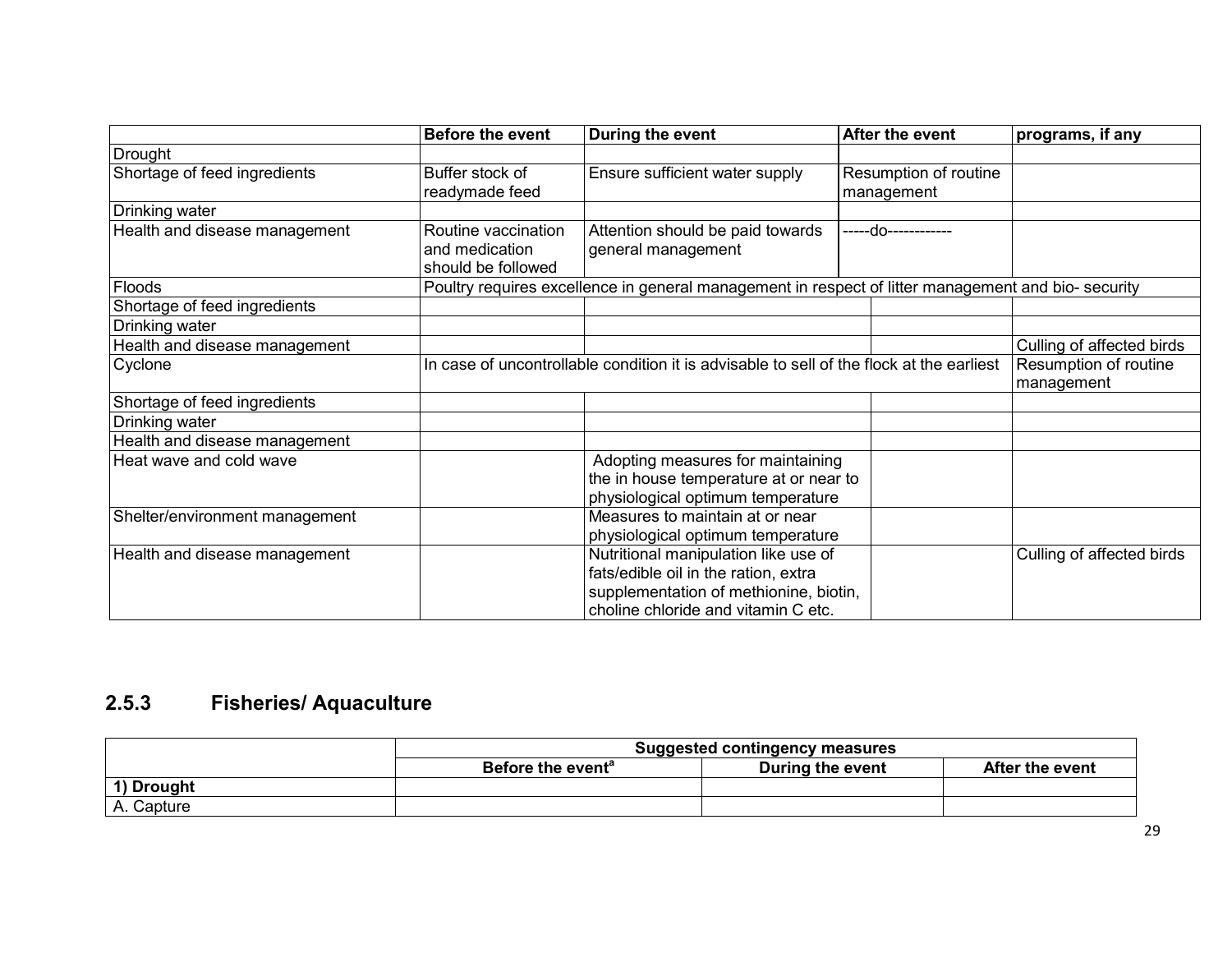|                                                                   | <b>Before the event</b>                                                                  | During the event                                                                                    | After the event                     | programs, if any                    |
|-------------------------------------------------------------------|------------------------------------------------------------------------------------------|-----------------------------------------------------------------------------------------------------|-------------------------------------|-------------------------------------|
| Drought                                                           |                                                                                          |                                                                                                     |                                     |                                     |
| Shortage of feed ingredients                                      | Buffer stock of<br>readymade feed                                                        | Ensure sufficient water supply                                                                      | Resumption of routine<br>management |                                     |
| Drinking water                                                    |                                                                                          |                                                                                                     |                                     |                                     |
| Health and disease management                                     | Routine vaccination<br>and medication<br>should be followed                              | Attention should be paid towards<br>general management                                              | -----do------------                 |                                     |
| Floods                                                            |                                                                                          | Poultry requires excellence in general management in respect of litter management and bio- security |                                     |                                     |
| Shortage of feed ingredients                                      |                                                                                          |                                                                                                     |                                     |                                     |
| Drinking water                                                    |                                                                                          |                                                                                                     |                                     |                                     |
| Health and disease management                                     |                                                                                          |                                                                                                     |                                     | Culling of affected birds           |
| Cyclone                                                           | In case of uncontrollable condition it is advisable to sell of the flock at the earliest |                                                                                                     |                                     | Resumption of routine<br>management |
| Shortage of feed ingredients                                      |                                                                                          |                                                                                                     |                                     |                                     |
| Drinking water                                                    |                                                                                          |                                                                                                     |                                     |                                     |
| Health and disease management                                     |                                                                                          |                                                                                                     |                                     |                                     |
| Heat wave and cold wave                                           |                                                                                          | Adopting measures for maintaining                                                                   |                                     |                                     |
|                                                                   |                                                                                          | the in house temperature at or near to                                                              |                                     |                                     |
|                                                                   |                                                                                          | physiological optimum temperature                                                                   |                                     |                                     |
| Measures to maintain at or near<br>Shelter/environment management |                                                                                          |                                                                                                     |                                     |                                     |
|                                                                   |                                                                                          | physiological optimum temperature                                                                   |                                     |                                     |
| Health and disease management                                     |                                                                                          | Nutritional manipulation like use of                                                                |                                     | Culling of affected birds           |
|                                                                   |                                                                                          | fats/edible oil in the ration, extra                                                                |                                     |                                     |
|                                                                   |                                                                                          | supplementation of methionine, biotin,<br>choline chloride and vitamin C etc.                       |                                     |                                     |

# 2.5.3 Fisheries/ Aquaculture

|            | <b>Suggested contingency measures</b> |                  |                 |  |
|------------|---------------------------------------|------------------|-----------------|--|
|            | Before the event <sup>a</sup>         | During the event | After the event |  |
| 1) Drought |                                       |                  |                 |  |
| A. Capture |                                       |                  |                 |  |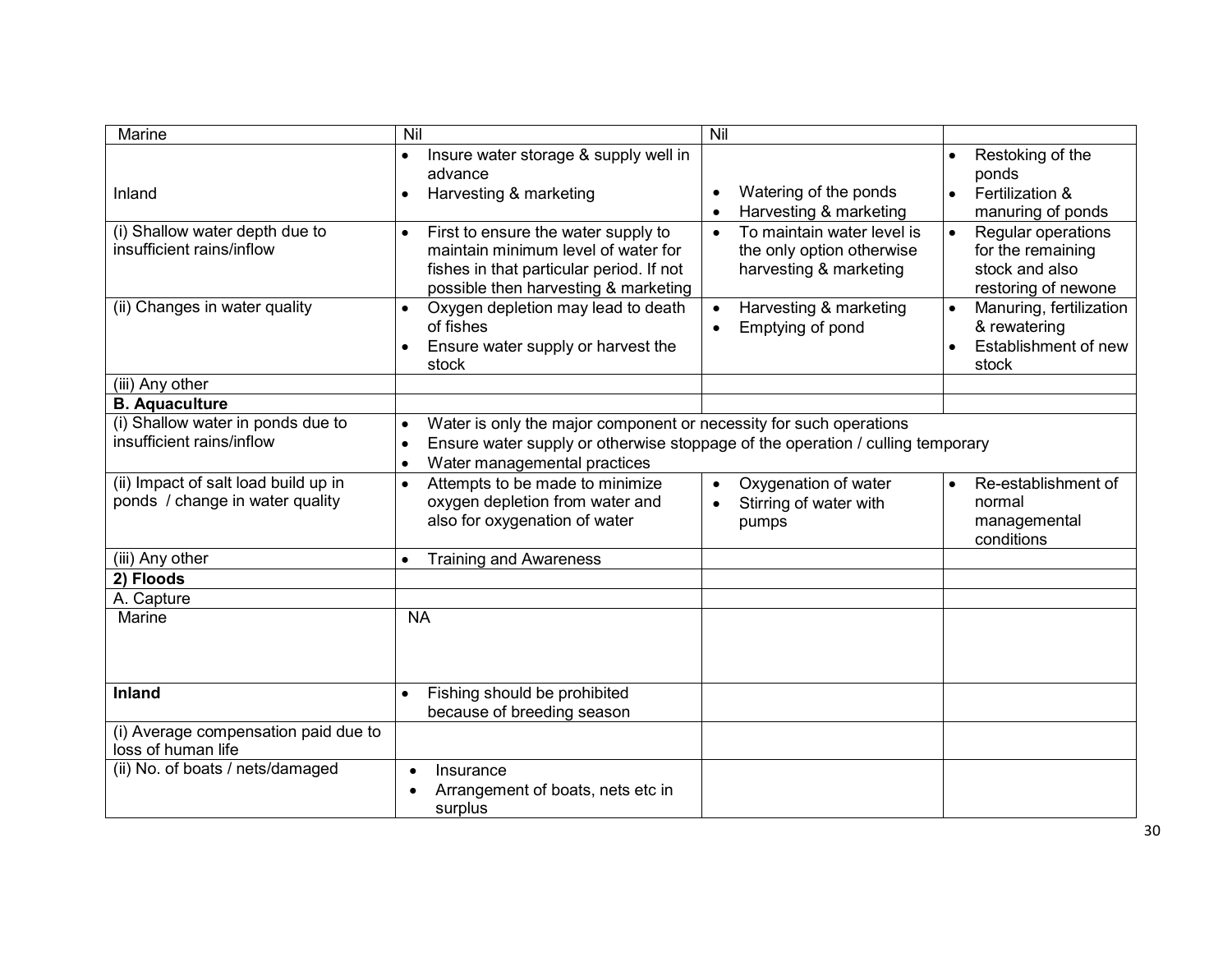| Marine                                                                  | Nil                                                                                                                                                                                                            | Nil                                                                                            |                                                                                  |
|-------------------------------------------------------------------------|----------------------------------------------------------------------------------------------------------------------------------------------------------------------------------------------------------------|------------------------------------------------------------------------------------------------|----------------------------------------------------------------------------------|
| Inland                                                                  | Insure water storage & supply well in<br>$\bullet$<br>advance<br>Harvesting & marketing<br>$\bullet$                                                                                                           | Watering of the ponds<br>Harvesting & marketing                                                | Restoking of the<br>ponds<br>Fertilization &<br>manuring of ponds                |
| (i) Shallow water depth due to<br>insufficient rains/inflow             | First to ensure the water supply to<br>$\bullet$<br>maintain minimum level of water for<br>fishes in that particular period. If not<br>possible then harvesting & marketing                                    | To maintain water level is<br>$\bullet$<br>the only option otherwise<br>harvesting & marketing | Regular operations<br>for the remaining<br>stock and also<br>restoring of newone |
| (ii) Changes in water quality                                           | Oxygen depletion may lead to death<br>of fishes<br>Ensure water supply or harvest the<br>stock                                                                                                                 | Harvesting & marketing<br>$\bullet$<br>Emptying of pond<br>$\bullet$                           | Manuring, fertilization<br>& rewatering<br>Establishment of new<br>stock         |
| (iii) Any other                                                         |                                                                                                                                                                                                                |                                                                                                |                                                                                  |
| <b>B.</b> Aquaculture                                                   |                                                                                                                                                                                                                |                                                                                                |                                                                                  |
| (i) Shallow water in ponds due to<br>insufficient rains/inflow          | Water is only the major component or necessity for such operations<br>Ensure water supply or otherwise stoppage of the operation / culling temporary<br>$\bullet$<br>Water managemental practices<br>$\bullet$ |                                                                                                |                                                                                  |
| (ii) Impact of salt load build up in<br>ponds / change in water quality | Attempts to be made to minimize<br>$\bullet$<br>oxygen depletion from water and<br>also for oxygenation of water                                                                                               | Oxygenation of water<br>$\bullet$<br>Stirring of water with<br>pumps                           | Re-establishment of<br>$\bullet$<br>normal<br>managemental<br>conditions         |
| (iii) Any other                                                         | <b>Training and Awareness</b>                                                                                                                                                                                  |                                                                                                |                                                                                  |
| 2) Floods                                                               |                                                                                                                                                                                                                |                                                                                                |                                                                                  |
| A. Capture                                                              |                                                                                                                                                                                                                |                                                                                                |                                                                                  |
| Marine                                                                  | <b>NA</b>                                                                                                                                                                                                      |                                                                                                |                                                                                  |
| <b>Inland</b>                                                           | Fishing should be prohibited<br>because of breeding season                                                                                                                                                     |                                                                                                |                                                                                  |
| (i) Average compensation paid due to<br>loss of human life              |                                                                                                                                                                                                                |                                                                                                |                                                                                  |
| (ii) No. of boats / nets/damaged                                        | Insurance<br>$\bullet$<br>Arrangement of boats, nets etc in<br>$\bullet$<br>surplus                                                                                                                            |                                                                                                |                                                                                  |